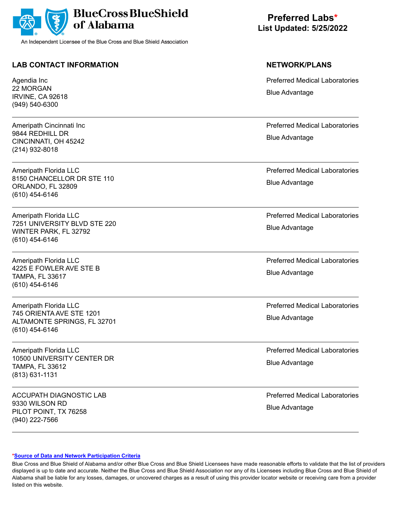

## **LAB CONTACT INFORMATION NETWORK/PLANS**

Agendia Inc 22 MORGAN IRVINE, CA 92618 (949) 540-6300

Ameripath Cincinnati Inc 9844 REDHILL DR CINCINNATI, OH 45242 (214) 932-8018

Ameripath Florida LLC 8150 CHANCELLOR DR STE 110 ORLANDO, FL 32809 (610) 454-6146

Ameripath Florida LLC 7251 UNIVERSITY BLVD STE 220 WINTER PARK, FL 32792 (610) 454-6146

Ameripath Florida LLC 4225 E FOWLER AVE STE B TAMPA, FL 33617 (610) 454-6146

Ameripath Florida LLC 745 ORIENTA AVE STE 1201 ALTAMONTE SPRINGS, FL 32701 (610) 454-6146

Ameripath Florida LLC 10500 UNIVERSITY CENTER DR TAMPA, FL 33612 (813) 631-1131

ACCUPATH DIAGNOSTIC LAB 9330 WILSON RD PILOT POINT, TX 76258 (940) 222-7566

**Preferred Labs\* List Updated: 5/25/2022**

Preferred Medical Laboratories Blue Advantage

Preferred Medical Laboratories Blue Advantage

Preferred Medical Laboratories Blue Advantage

Preferred Medical Laboratories Blue Advantage

Preferred Medical Laboratories Blue Advantage

Preferred Medical Laboratories Blue Advantage

Preferred Medical Laboratories Blue Advantage

Preferred Medical Laboratories Blue Advantage

### **[\\*Source of Data and Network Participation Criteria](https://www.bcbsal.org/pdfs/DataSources.pdf)**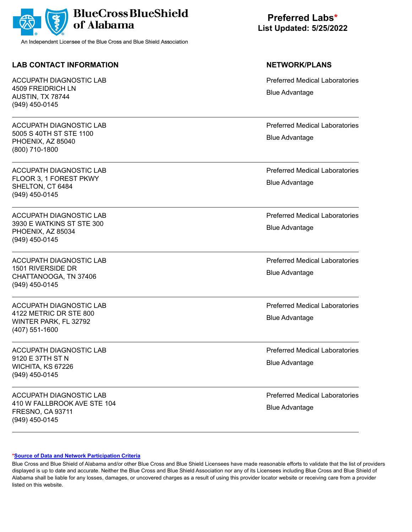

## **LAB CONTACT INFORMATION NETWORK/PLANS**

ACCUPATH DIAGNOSTIC LAB 4509 FREIDRICH LN AUSTIN, TX 78744 (949) 450-0145

ACCUPATH DIAGNOSTIC LAB 5005 S 40TH ST STE 1100 PHOENIX, AZ 85040 (800) 710-1800

ACCUPATH DIAGNOSTIC LAB FLOOR 3, 1 FOREST PKWY SHELTON, CT 6484 (949) 450-0145

ACCUPATH DIAGNOSTIC LAB 3930 E WATKINS ST STE 300 PHOENIX, AZ 85034 (949) 450-0145

ACCUPATH DIAGNOSTIC LAB 1501 RIVERSIDE DR CHATTANOOGA, TN 37406 (949) 450-0145

ACCUPATH DIAGNOSTIC LAB 4122 METRIC DR STE 800 WINTER PARK, FL 32792 (407) 551-1600

ACCUPATH DIAGNOSTIC LAB 9120 E 37TH ST N WICHITA, KS 67226 (949) 450-0145

ACCUPATH DIAGNOSTIC LAB 410 W FALLBROOK AVE STE 104 FRESNO, CA 93711 (949) 450-0145

**Preferred Labs\* List Updated: 5/25/2022**

Preferred Medical Laboratories Blue Advantage

Preferred Medical Laboratories Blue Advantage

Preferred Medical Laboratories Blue Advantage

Preferred Medical Laboratories Blue Advantage

Preferred Medical Laboratories Blue Advantage

Preferred Medical Laboratories Blue Advantage

Preferred Medical Laboratories Blue Advantage

Preferred Medical Laboratories Blue Advantage

### **[\\*Source of Data and Network Participation Criteria](https://www.bcbsal.org/pdfs/DataSources.pdf)**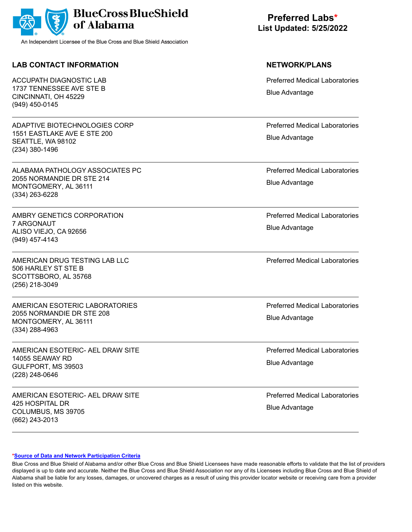

## **LAB CONTACT INFORMATION NETWORK/PLANS**

ACCUPATH DIAGNOSTIC LAB 1737 TENNESSEE AVE STE B CINCINNATI, OH 45229 (949) 450-0145

ADAPTIVE BIOTECHNOLOGIES CORP 1551 EASTLAKE AVE E STE 200 SEATTLE, WA 98102 (234) 380-1496

ALABAMA PATHOLOGY ASSOCIATES PC 2055 NORMANDIE DR STE 214 MONTGOMERY, AL 36111 (334) 263-6228

AMBRY GENETICS CORPORATION 7 ARGONAUT ALISO VIEJO, CA 92656 (949) 457-4143

AMERICAN DRUG TESTING LAB LLC 506 HARLEY ST STE B SCOTTSBORO, AL 35768 (256) 218-3049

AMERICAN ESOTERIC LABORATORIES 2055 NORMANDIE DR STE 208 MONTGOMERY, AL 36111 (334) 288-4963

AMERICAN ESOTERIC- AEL DRAW SITE 14055 SEAWAY RD GULFPORT, MS 39503 (228) 248-0646

AMERICAN ESOTERIC- AEL DRAW SITE 425 HOSPITAL DR COLUMBUS, MS 39705 (662) 243-2013

# **Preferred Labs\* List Updated: 5/25/2022**

Preferred Medical Laboratories Blue Advantage

Preferred Medical Laboratories Blue Advantage

Preferred Medical Laboratories Blue Advantage

Preferred Medical Laboratories Blue Advantage

Preferred Medical Laboratories

Preferred Medical Laboratories Blue Advantage

Preferred Medical Laboratories Blue Advantage

Preferred Medical Laboratories Blue Advantage

### **[\\*Source of Data and Network Participation Criteria](https://www.bcbsal.org/pdfs/DataSources.pdf)**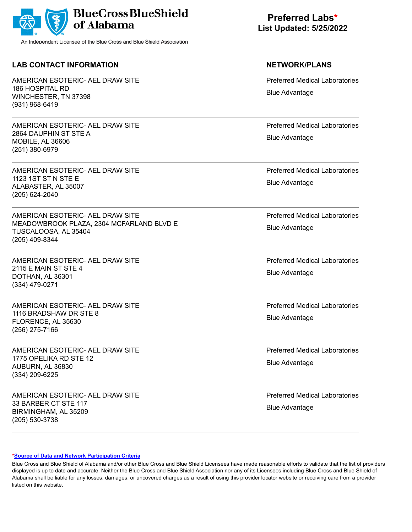

## **LAB CONTACT INFORMATION NETWORK/PLANS**

AMERICAN ESOTERIC- AEL DRAW SITE 186 HOSPITAL RD WINCHESTER, TN 37398 (931) 968-6419

AMERICAN ESOTERIC- AEL DRAW SITE 2864 DAUPHIN ST STE A MOBILE, AL 36606 (251) 380-6979

AMERICAN ESOTERIC- AEL DRAW SITE 1123 1ST ST N STE E ALABASTER, AL 35007 (205) 624-2040

AMERICAN ESOTERIC- AEL DRAW SITE MEADOWBROOK PLAZA, 2304 MCFARLAND BLVD E TUSCALOOSA, AL 35404 (205) 409-8344

AMERICAN ESOTERIC- AEL DRAW SITE 2115 E MAIN ST STE 4 DOTHAN, AL 36301 (334) 479-0271

AMERICAN ESOTERIC- AEL DRAW SITE 1116 BRADSHAW DR STE 8 FLORENCE, AL 35630 (256) 275-7166

AMERICAN ESOTERIC- AEL DRAW SITE 1775 OPELIKA RD STE 12 AUBURN, AL 36830 (334) 209-6225

AMERICAN ESOTERIC- AEL DRAW SITE 33 BARBER CT STE 117 BIRMINGHAM, AL 35209 (205) 530-3738

# **Preferred Labs\* List Updated: 5/25/2022**

Preferred Medical Laboratories Blue Advantage

Preferred Medical Laboratories Blue Advantage

Preferred Medical Laboratories Blue Advantage

Preferred Medical Laboratories Blue Advantage

Preferred Medical Laboratories Blue Advantage

Preferred Medical Laboratories Blue Advantage

Preferred Medical Laboratories Blue Advantage

Preferred Medical Laboratories Blue Advantage

### **[\\*Source of Data and Network Participation Criteria](https://www.bcbsal.org/pdfs/DataSources.pdf)**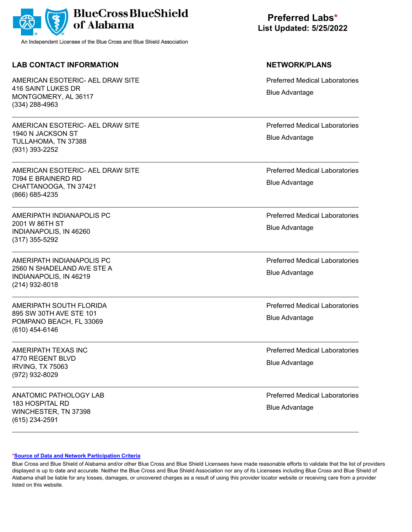

## **LAB CONTACT INFORMATION NETWORK/PLANS**

AMERICAN ESOTERIC- AEL DRAW SITE 416 SAINT LUKES DR MONTGOMERY, AL 36117 (334) 288-4963

AMERICAN ESOTERIC- AEL DRAW SITE 1940 N JACKSON ST TULLAHOMA, TN 37388 (931) 393-2252

AMERICAN ESOTERIC- AEL DRAW SITE 7094 E BRAINERD RD CHATTANOOGA, TN 37421 (866) 685-4235

AMERIPATH INDIANAPOLIS PC 2001 W 86TH ST INDIANAPOLIS, IN 46260 (317) 355-5292

AMERIPATH INDIANAPOLIS PC 2560 N SHADELAND AVE STE A INDIANAPOLIS, IN 46219 (214) 932-8018

AMERIPATH SOUTH FLORIDA 895 SW 30TH AVE STE 101 POMPANO BEACH, FL 33069 (610) 454-6146

AMERIPATH TEXAS INC 4770 REGENT BLVD IRVING, TX 75063 (972) 932-8029

ANATOMIC PATHOLOGY LAB 183 HOSPITAL RD WINCHESTER, TN 37398 (615) 234-2591

# **Preferred Labs\* List Updated: 5/25/2022**

Preferred Medical Laboratories Blue Advantage

Preferred Medical Laboratories Blue Advantage

Preferred Medical Laboratories Blue Advantage

Preferred Medical Laboratories Blue Advantage

Preferred Medical Laboratories Blue Advantage

Preferred Medical Laboratories Blue Advantage

Preferred Medical Laboratories Blue Advantage

Preferred Medical Laboratories Blue Advantage

### **[\\*Source of Data and Network Participation Criteria](https://www.bcbsal.org/pdfs/DataSources.pdf)**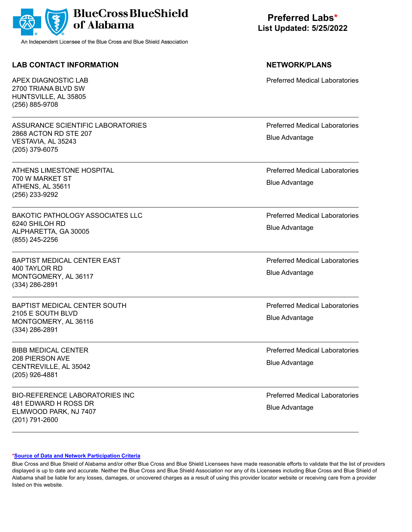

## **LAB CONTACT INFORMATION NETWORK/PLANS**

APEX DIAGNOSTIC LAB 2700 TRIANA BLVD SW HUNTSVILLE, AL 35805 (256) 885-9708

ASSURANCE SCIENTIFIC LABORATORIES 2868 ACTON RD STE 207 VESTAVIA, AL 35243 (205) 379-6075

ATHENS LIMESTONE HOSPITAL 700 W MARKET ST ATHENS, AL 35611 (256) 233-9292

BAKOTIC PATHOLOGY ASSOCIATES LLC 6240 SHILOH RD ALPHARETTA, GA 30005 (855) 245-2256

BAPTIST MEDICAL CENTER EAST 400 TAYLOR RD MONTGOMERY, AL 36117 (334) 286-2891

BAPTIST MEDICAL CENTER SOUTH 2105 E SOUTH BLVD MONTGOMERY, AL 36116 (334) 286-2891

BIBB MEDICAL CENTER 208 PIERSON AVE CENTREVILLE, AL 35042 (205) 926-4881

BIO-REFERENCE LABORATORIES INC 481 EDWARD H ROSS DR ELMWOOD PARK, NJ 7407 (201) 791-2600

# **Preferred Labs\* List Updated: 5/25/2022**

Preferred Medical Laboratories

Preferred Medical Laboratories Blue Advantage

Preferred Medical Laboratories Blue Advantage

Preferred Medical Laboratories Blue Advantage

Preferred Medical Laboratories Blue Advantage

Preferred Medical Laboratories Blue Advantage

Preferred Medical Laboratories Blue Advantage

Preferred Medical Laboratories Blue Advantage

### **[\\*Source of Data and Network Participation Criteria](https://www.bcbsal.org/pdfs/DataSources.pdf)**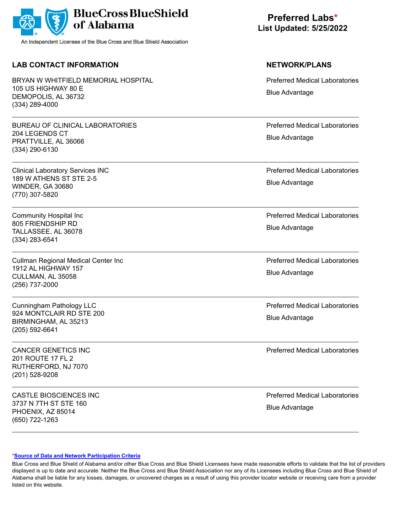|  | BlueCross BlueShield |
|--|----------------------|
|--|----------------------|

## **LAB CONTACT INFORMATION NETWORK/PLANS**

BRYAN W WHITFIFI D MFMORIAL HOSPITAL 105 US HIGHWAY 80 E DEMOPOLIS, AL 36732 (334) 289-4000

BUREAU OF CLINICAL LABORATORIES 204 LEGENDS CT PRATTVILLE, AL 36066 (334) 290-6130

Clinical Laboratory Services INC 189 W ATHENS ST STE 2-5 WINDER, GA 30680 (770) 307-5820

Community Hospital Inc 805 FRIENDSHIP RD TALLASSEE, AL 36078 (334) 283-6541

Cullman Regional Medical Center Inc 1912 AL HIGHWAY 157 CULLMAN, AL 35058 (256) 737-2000

Cunningham Pathology LLC 924 MONTCLAIR RD STE 200 BIRMINGHAM, AL 35213 (205) 592-6641

CANCER GENETICS INC 201 ROUTE 17 FL 2 RUTHERFORD, NJ 7070 (201) 528-9208

CASTLE BIOSCIENCES INC 3737 N 7TH ST STE 160 PHOENIX, AZ 85014 (650) 722-1263

**Preferred Labs\* List Updated: 5/25/2022**

Preferred Medical Laboratories Blue Advantage

Preferred Medical Laboratories Blue Advantage

Preferred Medical Laboratories Blue Advantage

Preferred Medical Laboratories Blue Advantage

Preferred Medical Laboratories Blue Advantage

Preferred Medical Laboratories Blue Advantage

Preferred Medical Laboratories

Preferred Medical Laboratories Blue Advantage

### **[\\*Source of Data and Network Participation Criteria](https://www.bcbsal.org/pdfs/DataSources.pdf)**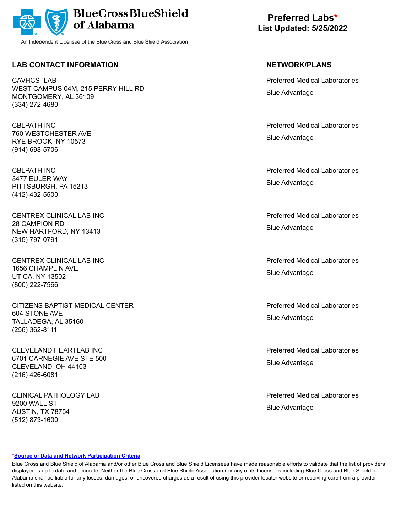|  | BlueCross BlueShield |
|--|----------------------|
|--|----------------------|

## **LAB CONTACT INFORMATION NETWORK/PLANS**

CAVHCS- LAB WEST CAMPUS 04M, 215 PERRY HILL RD MONTGOMERY, AL 36109 (334) 272-4680

CBLPATH INC 760 WESTCHESTER AVE RYE BROOK, NY 10573 (914) 698-5706

CBLPATH INC 3477 EULER WAY PITTSBURGH, PA 15213 (412) 432-5500

CENTREX CLINICAL LAB INC 28 CAMPION RD NEW HARTFORD, NY 13413 (315) 797-0791

CENTREX CLINICAL LAB INC 1656 CHAMPLIN AVE UTICA, NY 13502 (800) 222-7566

CITIZENS BAPTIST MEDICAL CENTER 604 STONE AVE TALLADEGA, AL 35160 (256) 362-8111

CLEVELAND HEARTLAB INC 6701 CARNEGIE AVE STE 500 CLEVELAND, OH 44103 (216) 426-6081

CLINICAL PATHOLOGY LAB 9200 WALL ST AUSTIN, TX 78754 (512) 873-1600

**Preferred Labs\* List Updated: 5/25/2022**

Preferred Medical Laboratories Blue Advantage

Preferred Medical Laboratories Blue Advantage

Preferred Medical Laboratories Blue Advantage

Preferred Medical Laboratories Blue Advantage

Preferred Medical Laboratories Blue Advantage

Preferred Medical Laboratories Blue Advantage

Preferred Medical Laboratories Blue Advantage

Preferred Medical Laboratories Blue Advantage

### **[\\*Source of Data and Network Participation Criteria](https://www.bcbsal.org/pdfs/DataSources.pdf)**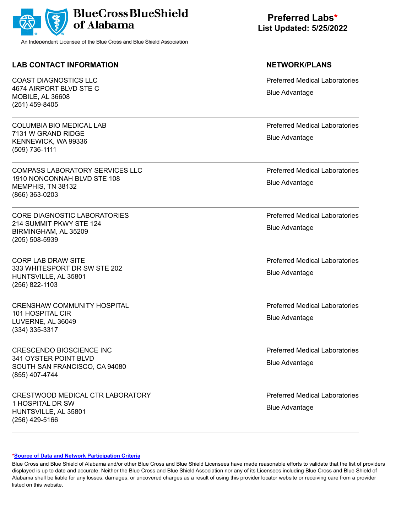

## **LAB CONTACT INFORMATION NETWORK/PLANS**

COAST DIAGNOSTICS LLC 4674 AIRPORT BLVD STE C MOBILE, AL 36608 (251) 459-8405

COLUMBIA BIO MEDICAL LAB 7131 W GRAND RIDGE KENNEWICK, WA 99336 (509) 736-1111

COMPASS LABORATORY SERVICES LLC 1910 NONCONNAH BLVD STE 108 MEMPHIS, TN 38132 (866) 363-0203

CORE DIAGNOSTIC LABORATORIES 214 SUMMIT PKWY STE 124 BIRMINGHAM, AL 35209 (205) 508-5939

CORP LAB DRAW SITE 333 WHITESPORT DR SW STE 202 HUNTSVILLE, AL 35801 (256) 822-1103

CRENSHAW COMMUNITY HOSPITAL 101 HOSPITAL CIR LUVERNE, AL 36049 (334) 335-3317

CRESCENDO BIOSCIENCE INC 341 OYSTER POINT BLVD SOUTH SAN FRANCISCO, CA 94080 (855) 407-4744

CRESTWOOD MEDICAL CTR LABORATORY 1 HOSPITAL DR SW HUNTSVILLE, AL 35801 (256) 429-5166

# **Preferred Labs\* List Updated: 5/25/2022**

Preferred Medical Laboratories Blue Advantage

Preferred Medical Laboratories Blue Advantage

Preferred Medical Laboratories Blue Advantage

Preferred Medical Laboratories Blue Advantage

Preferred Medical Laboratories Blue Advantage

Preferred Medical Laboratories Blue Advantage

Preferred Medical Laboratories Blue Advantage

Preferred Medical Laboratories Blue Advantage

### **[\\*Source of Data and Network Participation Criteria](https://www.bcbsal.org/pdfs/DataSources.pdf)**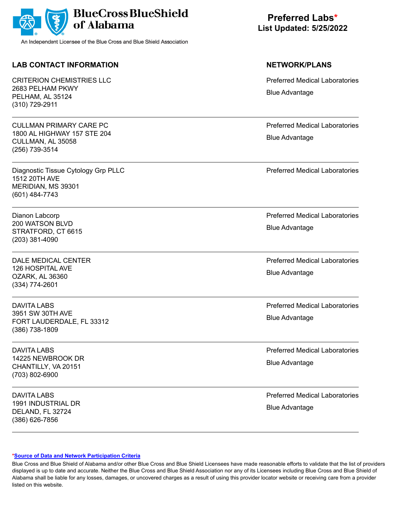

## **LAB CONTACT INFORMATION NETWORK/PLANS**

CRITERION CHEMISTRIES LLC 2683 PELHAM PKWY PELHAM, AL 35124 (310) 729-2911

CULLMAN PRIMARY CARE PC 1800 AL HIGHWAY 157 STE 204 CULLMAN, AL 35058 (256) 739-3514

Diagnostic Tissue Cytology Grp PLLC 1512 20TH AVE MERIDIAN, MS 39301 (601) 484-7743

Dianon Labcorp 200 WATSON BLVD STRATFORD, CT 6615 (203) 381-4090

DALE MEDICAL CENTER 126 HOSPITAL AVE OZARK, AL 36360 (334) 774-2601

DAVITA LABS 3951 SW 30TH AVE FORT LAUDERDALE, FL 33312 (386) 738-1809

DAVITA LABS 14225 NEWBROOK DR CHANTILLY, VA 20151 (703) 802-6900

DAVITA LABS 1991 INDUSTRIAL DR DELAND, FL 32724 (386) 626-7856

**Preferred Labs\* List Updated: 5/25/2022**

Preferred Medical Laboratories Blue Advantage

Preferred Medical Laboratories Blue Advantage

Preferred Medical Laboratories

Preferred Medical Laboratories Blue Advantage

Preferred Medical Laboratories Blue Advantage

Preferred Medical Laboratories Blue Advantage

Preferred Medical Laboratories Blue Advantage

Preferred Medical Laboratories Blue Advantage

### **[\\*Source of Data and Network Participation Criteria](https://www.bcbsal.org/pdfs/DataSources.pdf)**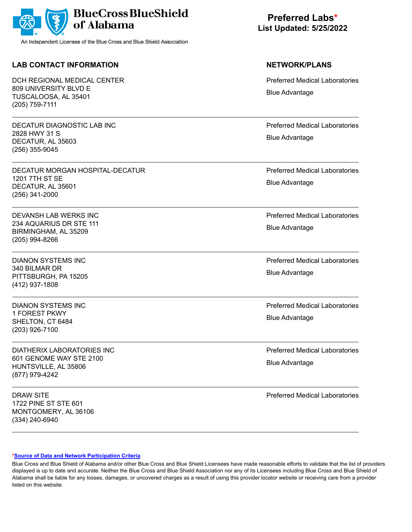

## **LAB CONTACT INFORMATION NETWORK/PLANS**

DCH REGIONAL MEDICAL CENTER 809 UNIVERSITY BLVD E TUSCALOOSA, AL 35401 (205) 759-7111

DECATUR DIAGNOSTIC LAB INC 2828 HWY 31 S DECATUR, AL 35603 (256) 355-9045

DECATUR MORGAN HOSPITAL-DECATUR 1201 7TH ST SE DECATUR, AL 35601 (256) 341-2000

DEVANSH LAB WERKS INC 234 AQUARIUS DR STE 111 BIRMINGHAM, AL 35209 (205) 994-8266

DIANON SYSTEMS INC 340 BILMAR DR PITTSBURGH, PA 15205 (412) 937-1808

DIANON SYSTEMS INC 1 FOREST PKWY SHELTON, CT 6484 (203) 926-7100

DIATHERIX LABORATORIES INC 601 GENOME WAY STE 2100 HUNTSVILLE, AL 35806 (877) 979-4242

DRAW SITE 1722 PINE ST STE 601 MONTGOMERY, AL 36106 (334) 240-6940

**Preferred Labs\* List Updated: 5/25/2022**

Preferred Medical Laboratories Blue Advantage

Preferred Medical Laboratories Blue Advantage

Preferred Medical Laboratories Blue Advantage

Preferred Medical Laboratories Blue Advantage

Preferred Medical Laboratories Blue Advantage

Preferred Medical Laboratories Blue Advantage

Preferred Medical Laboratories Blue Advantage

Preferred Medical Laboratories

### **[\\*Source of Data and Network Participation Criteria](https://www.bcbsal.org/pdfs/DataSources.pdf)**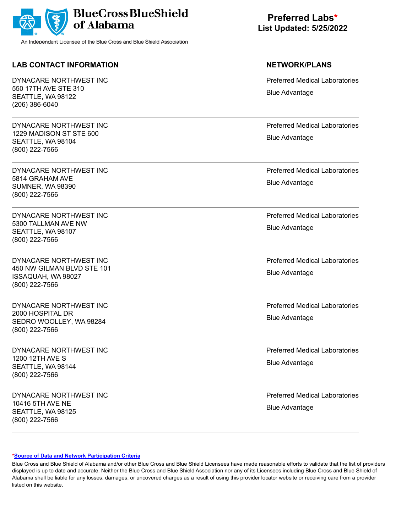

## **LAB CONTACT INFORMATION NETWORK/PLANS**

DYNACARE NORTHWEST INC 550 17TH AVE STE 310 SEATTLE, WA 98122 (206) 386-6040

DYNACARE NORTHWEST INC 1229 MADISON ST STE 600 SEATTLE, WA 98104 (800) 222-7566

DYNACARE NORTHWEST INC 5814 GRAHAM AVE SUMNER, WA 98390 (800) 222-7566

DYNACARE NORTHWEST INC 5300 TALLMAN AVE NW SEATTLE, WA 98107 (800) 222-7566

DYNACARE NORTHWEST INC 450 NW GILMAN BLVD STE 101 ISSAQUAH, WA 98027 (800) 222-7566

DYNACARE NORTHWEST INC 2000 HOSPITAL DR SEDRO WOOLLEY, WA 98284 (800) 222-7566

DYNACARE NORTHWEST INC 1200 12TH AVE S SEATTLE, WA 98144 (800) 222-7566

DYNACARE NORTHWEST INC 10416 5TH AVE NE SEATTLE, WA 98125 (800) 222-7566

**Preferred Labs\* List Updated: 5/25/2022**

Preferred Medical Laboratories Blue Advantage

Preferred Medical Laboratories Blue Advantage

Preferred Medical Laboratories Blue Advantage

Preferred Medical Laboratories Blue Advantage

Preferred Medical Laboratories Blue Advantage

Preferred Medical Laboratories Blue Advantage

Preferred Medical Laboratories Blue Advantage

Preferred Medical Laboratories Blue Advantage

### **[\\*Source of Data and Network Participation Criteria](https://www.bcbsal.org/pdfs/DataSources.pdf)**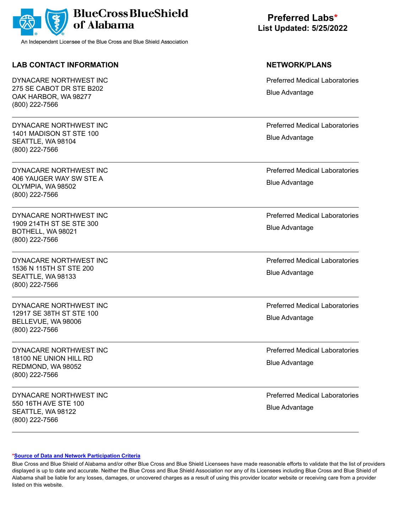

## **LAB CONTACT INFORMATION NETWORK/PLANS**

DYNACARE NORTHWEST INC 275 SE CABOT DR STE B202 OAK HARBOR, WA 98277 (800) 222-7566

DYNACARE NORTHWEST INC 1401 MADISON ST STE 100 SEATTLE, WA 98104 (800) 222-7566

DYNACARE NORTHWEST INC 406 YAUGER WAY SW STE A OLYMPIA, WA 98502 (800) 222-7566

DYNACARE NORTHWEST INC 1909 214TH ST SE STE 300 BOTHELL, WA 98021 (800) 222-7566

DYNACARE NORTHWEST INC 1536 N 115TH ST STE 200 SEATTLE, WA 98133 (800) 222-7566

DYNACARE NORTHWEST INC 12917 SE 38TH ST STE 100 BELLEVUE, WA 98006 (800) 222-7566

DYNACARE NORTHWEST INC 18100 NE UNION HILL RD REDMOND, WA 98052 (800) 222-7566

DYNACARE NORTHWEST INC 550 16TH AVE STE 100 SEATTLE, WA 98122 (800) 222-7566

**Preferred Labs\* List Updated: 5/25/2022**

Preferred Medical Laboratories Blue Advantage

Preferred Medical Laboratories Blue Advantage

Preferred Medical Laboratories Blue Advantage

Preferred Medical Laboratories Blue Advantage

Preferred Medical Laboratories Blue Advantage

Preferred Medical Laboratories Blue Advantage

Preferred Medical Laboratories Blue Advantage

Preferred Medical Laboratories Blue Advantage

### **[\\*Source of Data and Network Participation Criteria](https://www.bcbsal.org/pdfs/DataSources.pdf)**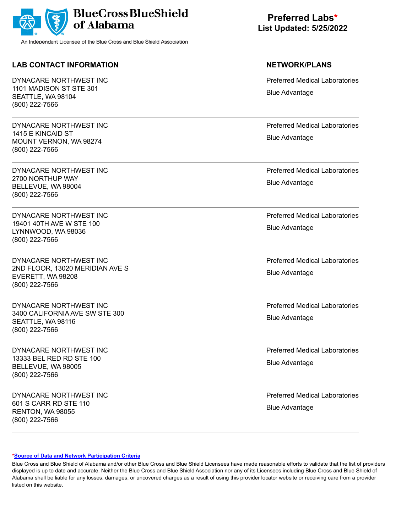

## **LAB CONTACT INFORMATION NETWORK/PLANS**

DYNACARE NORTHWEST INC 1101 MADISON ST STE 301 SEATTLE, WA 98104 (800) 222-7566

DYNACARE NORTHWEST INC 1415 E KINCAID ST MOUNT VERNON, WA 98274 (800) 222-7566

DYNACARE NORTHWEST INC 2700 NORTHUP WAY BELLEVUE, WA 98004 (800) 222-7566

DYNACARE NORTHWEST INC 19401 40TH AVE W STE 100 LYNNWOOD, WA 98036 (800) 222-7566

DYNACARE NORTHWEST INC 2ND FLOOR, 13020 MERIDIAN AVE S EVERETT, WA 98208 (800) 222-7566

DYNACARE NORTHWEST INC 3400 CALIFORNIA AVE SW STE 300 SEATTLE, WA 98116 (800) 222-7566

DYNACARE NORTHWEST INC 13333 BEL RED RD STE 100 BELLEVUE, WA 98005 (800) 222-7566

DYNACARE NORTHWEST INC 601 S CARR RD STE 110 RENTON, WA 98055 (800) 222-7566

**Preferred Labs\* List Updated: 5/25/2022**

Preferred Medical Laboratories Blue Advantage

Preferred Medical Laboratories Blue Advantage

Preferred Medical Laboratories Blue Advantage

Preferred Medical Laboratories Blue Advantage

Preferred Medical Laboratories Blue Advantage

Preferred Medical Laboratories Blue Advantage

Preferred Medical Laboratories Blue Advantage

Preferred Medical Laboratories Blue Advantage

### **[\\*Source of Data and Network Participation Criteria](https://www.bcbsal.org/pdfs/DataSources.pdf)**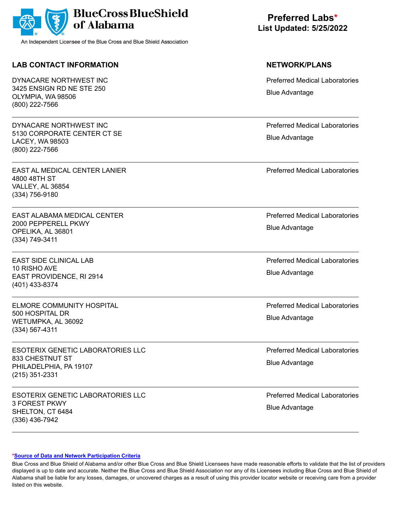

## **LAB CONTACT INFORMATION NETWORK/PLANS**

DYNACARE NORTHWEST INC 3425 ENSIGN RD NE STE 250 OLYMPIA, WA 98506 (800) 222-7566

DYNACARE NORTHWEST INC 5130 CORPORATE CENTER CT SE LACEY, WA 98503 (800) 222-7566

EAST AL MEDICAL CENTER LANIER 4800 48TH ST VALLEY, AL 36854 (334) 756-9180

EAST ALABAMA MEDICAL CENTER 2000 PEPPERELL PKWY OPELIKA, AL 36801 (334) 749-3411

EAST SIDE CLINICAL LAB 10 RISHO AVE EAST PROVIDENCE, RI 2914 (401) 433-8374

ELMORE COMMUNITY HOSPITAL 500 HOSPITAL DR WETUMPKA, AL 36092 (334) 567-4311

ESOTERIX GENETIC LABORATORIES LLC 833 CHESTNUT ST PHILADELPHIA, PA 19107 (215) 351-2331

ESOTERIX GENETIC LABORATORIES LLC 3 FOREST PKWY SHELTON, CT 6484 (336) 436-7942

**Preferred Labs\* List Updated: 5/25/2022**

Preferred Medical Laboratories Blue Advantage

Preferred Medical Laboratories Blue Advantage

Preferred Medical Laboratories

Preferred Medical Laboratories Blue Advantage

Preferred Medical Laboratories Blue Advantage

Preferred Medical Laboratories Blue Advantage

Preferred Medical Laboratories Blue Advantage

Preferred Medical Laboratories Blue Advantage

### **[\\*Source of Data and Network Participation Criteria](https://www.bcbsal.org/pdfs/DataSources.pdf)**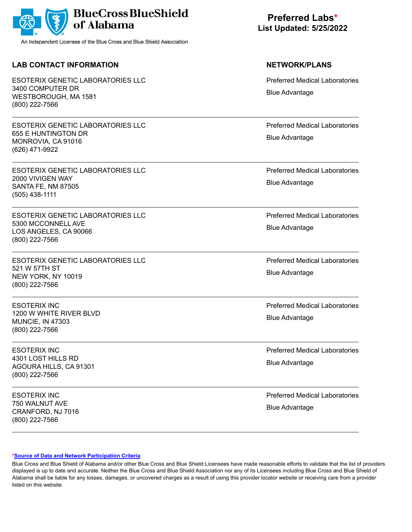

## **LAB CONTACT INFORMATION NETWORK/PLANS**

ESOTERIX GENETIC LABORATORIES LLC 3400 COMPUTER DR WESTBOROUGH, MA 1581 (800) 222-7566

ESOTERIX GENETIC LABORATORIES LLC 655 E HUNTINGTON DR MONROVIA, CA 91016 (626) 471-9922

ESOTERIX GENETIC LABORATORIES LLC 2000 VIVIGEN WAY SANTA FE, NM 87505 (505) 438-1111

ESOTERIX GENETIC LABORATORIES LLC 5300 MCCONNELL AVE LOS ANGELES, CA 90066 (800) 222-7566

ESOTERIX GENETIC LABORATORIES LLC 521 W 57TH ST NEW YORK, NY 10019 (800) 222-7566

ESOTERIX INC 1200 W WHITE RIVER BLVD MUNCIE, IN 47303 (800) 222-7566

ESOTERIX INC 4301 LOST HILLS RD AGOURA HILLS, CA 91301 (800) 222-7566

ESOTERIX INC 750 WALNUT AVE CRANFORD, NJ 7016 (800) 222-7566

**Preferred Labs\* List Updated: 5/25/2022**

Preferred Medical Laboratories Blue Advantage

Preferred Medical Laboratories Blue Advantage

Preferred Medical Laboratories Blue Advantage

Preferred Medical Laboratories Blue Advantage

Preferred Medical Laboratories Blue Advantage

Preferred Medical Laboratories Blue Advantage

Preferred Medical Laboratories Blue Advantage

Preferred Medical Laboratories Blue Advantage

### **[\\*Source of Data and Network Participation Criteria](https://www.bcbsal.org/pdfs/DataSources.pdf)**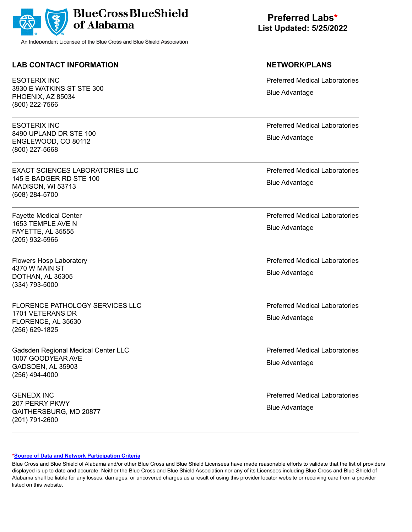

## **LAB CONTACT INFORMATION NETWORK/PLANS**

ESOTERIX INC 3930 E WATKINS ST STE 300 PHOENIX, AZ 85034 (800) 222-7566

ESOTERIX INC 8490 UPLAND DR STE 100 ENGLEWOOD, CO 80112 (800) 227-5668

EXACT SCIENCES LABORATORIES LLC 145 E BADGER RD STE 100 MADISON, WI 53713 (608) 284-5700

Fayette Medical Center 1653 TEMPLE AVE N FAYETTE, AL 35555 (205) 932-5966

Flowers Hosp Laboratory 4370 W MAIN ST DOTHAN, AL 36305 (334) 793-5000

FLORENCE PATHOLOGY SERVICES LLC 1701 VETERANS DR FLORENCE, AL 35630 (256) 629-1825

Gadsden Regional Medical Center LLC 1007 GOODYEAR AVE GADSDEN, AL 35903 (256) 494-4000

GENEDX INC 207 PERRY PKWY GAITHERSBURG, MD 20877 (201) 791-2600

**Preferred Labs\* List Updated: 5/25/2022**

Preferred Medical Laboratories Blue Advantage

Preferred Medical Laboratories Blue Advantage

Preferred Medical Laboratories Blue Advantage

Preferred Medical Laboratories Blue Advantage

Preferred Medical Laboratories Blue Advantage

Preferred Medical Laboratories Blue Advantage

Preferred Medical Laboratories Blue Advantage

Preferred Medical Laboratories Blue Advantage

### **[\\*Source of Data and Network Participation Criteria](https://www.bcbsal.org/pdfs/DataSources.pdf)**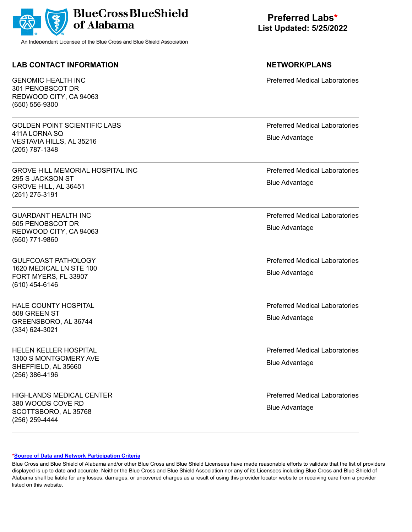

## **LAB CONTACT INFORMATION NETWORK/PLANS**

GENOMIC HEALTH INC 301 PENOBSCOT DR REDWOOD CITY, CA 94063 (650) 556-9300

GOLDEN POINT SCIENTIFIC LABS 411A LORNA SQ VESTAVIA HILLS, AL 35216 (205) 787-1348

GROVE HILL MEMORIAL HOSPITAL INC 295 S JACKSON ST GROVE HILL, AL 36451 (251) 275-3191

GUARDANT HEALTH INC 505 PENOBSCOT DR REDWOOD CITY, CA 94063 (650) 771-9860

GULFCOAST PATHOLOGY 1620 MEDICAL LN STE 100 FORT MYERS, FL 33907 (610) 454-6146

HALE COUNTY HOSPITAL 508 GREEN ST GREENSBORO, AL 36744 (334) 624-3021

HELEN KELLER HOSPITAL 1300 S MONTGOMERY AVE SHEFFIELD, AL 35660 (256) 386-4196

HIGHLANDS MEDICAL CENTER 380 WOODS COVE RD SCOTTSBORO, AL 35768 (256) 259-4444

**Preferred Labs\* List Updated: 5/25/2022**

Preferred Medical Laboratories

Preferred Medical Laboratories Blue Advantage

Preferred Medical Laboratories Blue Advantage

Preferred Medical Laboratories Blue Advantage

Preferred Medical Laboratories Blue Advantage

Preferred Medical Laboratories Blue Advantage

Preferred Medical Laboratories Blue Advantage

Preferred Medical Laboratories Blue Advantage

### **[\\*Source of Data and Network Participation Criteria](https://www.bcbsal.org/pdfs/DataSources.pdf)**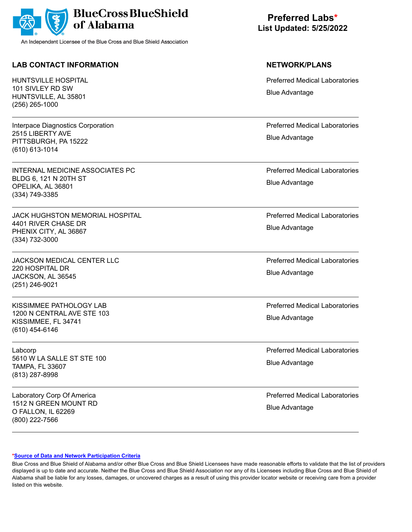

## **LAB CONTACT INFORMATION NETWORK/PLANS**

HUNTSVILLE HOSPITAL 101 SIVLEY RD SW HUNTSVILLE, AL 35801 (256) 265-1000

Interpace Diagnostics Corporation 2515 LIBERTY AVE PITTSBURGH, PA 15222 (610) 613-1014

INTERNAL MEDICINE ASSOCIATES PC BLDG 6, 121 N 20TH ST OPELIKA, AL 36801 (334) 749-3385

JACK HUGHSTON MEMORIAL HOSPITAL 4401 RIVER CHASE DR PHENIX CITY, AL 36867 (334) 732-3000

JACKSON MEDICAL CENTER LLC 220 HOSPITAL DR JACKSON, AL 36545 (251) 246-9021

KISSIMMEE PATHOLOGY LAB 1200 N CENTRAL AVE STE 103 KISSIMMEE, FL 34741 (610) 454-6146

Labcorp 5610 W LA SALLE ST STE 100 TAMPA, FL 33607 (813) 287-8998

Laboratory Corp Of America 1512 N GREEN MOUNT RD O FALLON, IL 62269 (800) 222-7566

**Preferred Labs\* List Updated: 5/25/2022**

Preferred Medical Laboratories Blue Advantage

Preferred Medical Laboratories Blue Advantage

Preferred Medical Laboratories Blue Advantage

Preferred Medical Laboratories Blue Advantage

Preferred Medical Laboratories Blue Advantage

Preferred Medical Laboratories Blue Advantage

Preferred Medical Laboratories Blue Advantage

Preferred Medical Laboratories Blue Advantage

### **[\\*Source of Data and Network Participation Criteria](https://www.bcbsal.org/pdfs/DataSources.pdf)**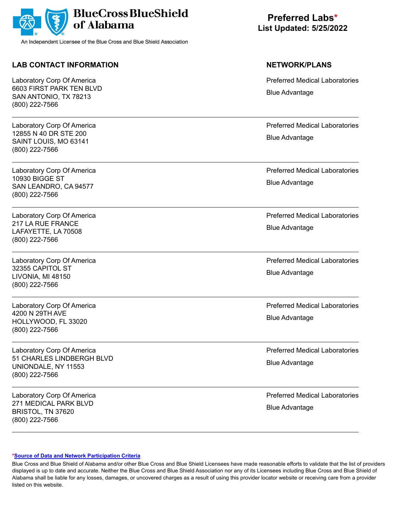

## **LAB CONTACT INFORMATION NETWORK/PLANS**

Laboratory Corp Of America 6603 FIRST PARK TEN BLVD SAN ANTONIO, TX 78213 (800) 222-7566

Laboratory Corp Of America 12855 N 40 DR STE 200 SAINT LOUIS, MO 63141 (800) 222-7566

Laboratory Corp Of America 10930 BIGGE ST SAN LEANDRO, CA 94577 (800) 222-7566

Laboratory Corp Of America 217 LA RUE FRANCE LAFAYETTE, LA 70508 (800) 222-7566

Laboratory Corp Of America 32355 CAPITOL ST LIVONIA, MI 48150 (800) 222-7566

Laboratory Corp Of America 4200 N 29TH AVE HOLLYWOOD, FL 33020 (800) 222-7566

Laboratory Corp Of America 51 CHARLES LINDBERGH BLVD UNIONDALE, NY 11553 (800) 222-7566

Laboratory Corp Of America 271 MEDICAL PARK BLVD BRISTOL, TN 37620 (800) 222-7566

**Preferred Labs\* List Updated: 5/25/2022**

Preferred Medical Laboratories Blue Advantage

Preferred Medical Laboratories Blue Advantage

Preferred Medical Laboratories Blue Advantage

Preferred Medical Laboratories Blue Advantage

Preferred Medical Laboratories Blue Advantage

Preferred Medical Laboratories Blue Advantage

Preferred Medical Laboratories Blue Advantage

Preferred Medical Laboratories Blue Advantage

### **[\\*Source of Data and Network Participation Criteria](https://www.bcbsal.org/pdfs/DataSources.pdf)**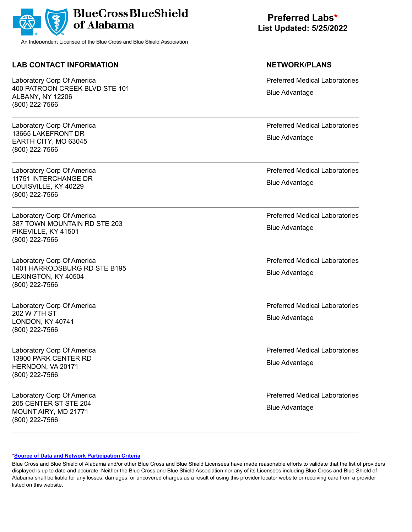

## **LAB CONTACT INFORMATION NETWORK/PLANS**

Laboratory Corp Of America 400 PATROON CREEK BLVD STE 101 ALBANY, NY 12206 (800) 222-7566

Laboratory Corp Of America 13665 LAKEFRONT DR EARTH CITY, MO 63045 (800) 222-7566

Laboratory Corp Of America 11751 INTERCHANGE DR LOUISVILLE, KY 40229 (800) 222-7566

Laboratory Corp Of America 387 TOWN MOUNTAIN RD STE 203 PIKEVILLE, KY 41501 (800) 222-7566

Laboratory Corp Of America 1401 HARRODSBURG RD STE B195 LEXINGTON, KY 40504 (800) 222-7566

Laboratory Corp Of America 202 W 7TH ST LONDON, KY 40741 (800) 222-7566

Laboratory Corp Of America 13900 PARK CENTER RD HERNDON, VA 20171 (800) 222-7566

Laboratory Corp Of America 205 CENTER ST STE 204 MOUNT AIRY, MD 21771 (800) 222-7566

**Preferred Labs\* List Updated: 5/25/2022**

Preferred Medical Laboratories Blue Advantage

Preferred Medical Laboratories Blue Advantage

Preferred Medical Laboratories Blue Advantage

Preferred Medical Laboratories Blue Advantage

Preferred Medical Laboratories Blue Advantage

Preferred Medical Laboratories Blue Advantage

Preferred Medical Laboratories Blue Advantage

Preferred Medical Laboratories Blue Advantage

### **[\\*Source of Data and Network Participation Criteria](https://www.bcbsal.org/pdfs/DataSources.pdf)**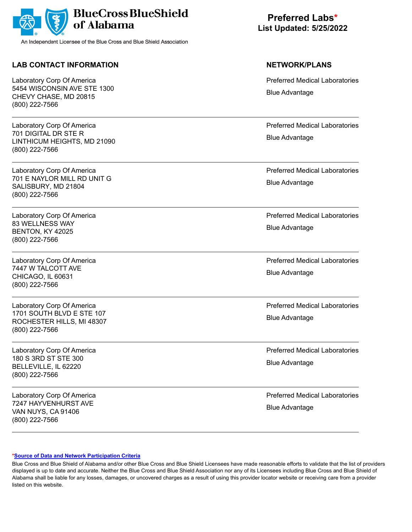

## **LAB CONTACT INFORMATION NETWORK/PLANS**

Laboratory Corp Of America 5454 WISCONSIN AVE STE 1300 CHEVY CHASE, MD 20815 (800) 222-7566

Laboratory Corp Of America 701 DIGITAL DR STE R LINTHICUM HEIGHTS, MD 21090 (800) 222-7566

Laboratory Corp Of America 701 E NAYLOR MILL RD UNIT G SALISBURY, MD 21804 (800) 222-7566

Laboratory Corp Of America 83 WELLNESS WAY BENTON, KY 42025 (800) 222-7566

Laboratory Corp Of America 7447 W TALCOTT AVE CHICAGO, IL 60631 (800) 222-7566

Laboratory Corp Of America 1701 SOUTH BLVD E STE 107 ROCHESTER HILLS, MI 48307 (800) 222-7566

Laboratory Corp Of America 180 S 3RD ST STE 300 BELLEVILLE, IL 62220 (800) 222-7566

Laboratory Corp Of America 7247 HAYVENHURST AVE VAN NUYS, CA 91406 (800) 222-7566

**Preferred Labs\* List Updated: 5/25/2022**

Preferred Medical Laboratories Blue Advantage

Preferred Medical Laboratories Blue Advantage

Preferred Medical Laboratories Blue Advantage

Preferred Medical Laboratories Blue Advantage

Preferred Medical Laboratories Blue Advantage

Preferred Medical Laboratories Blue Advantage

Preferred Medical Laboratories Blue Advantage

Preferred Medical Laboratories Blue Advantage

### **[\\*Source of Data and Network Participation Criteria](https://www.bcbsal.org/pdfs/DataSources.pdf)**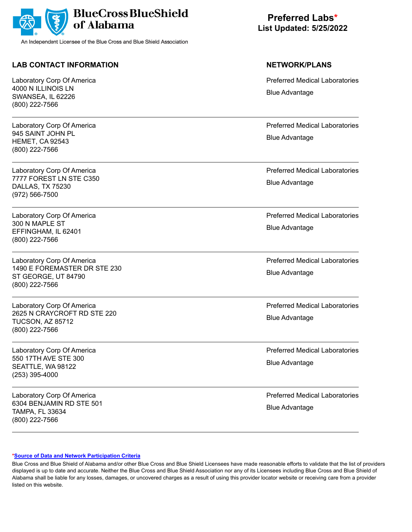

## **LAB CONTACT INFORMATION NETWORK/PLANS**

Laboratory Corp Of America 4000 N ILLINOIS LN SWANSEA, IL 62226 (800) 222-7566

Laboratory Corp Of America 945 SAINT JOHN PL HEMET, CA 92543 (800) 222-7566

Laboratory Corp Of America 7777 FOREST LN STE C350 DALLAS, TX 75230 (972) 566-7500

Laboratory Corp Of America 300 N MAPLE ST EFFINGHAM, IL 62401 (800) 222-7566

Laboratory Corp Of America 1490 E FOREMASTER DR STE 230 ST GEORGE, UT 84790 (800) 222-7566

Laboratory Corp Of America 2625 N CRAYCROFT RD STE 220 TUCSON, AZ 85712 (800) 222-7566

Laboratory Corp Of America 550 17TH AVE STE 300 SEATTLE, WA 98122 (253) 395-4000

Laboratory Corp Of America 6304 BENJAMIN RD STE 501 TAMPA, FL 33634 (800) 222-7566

**Preferred Labs\* List Updated: 5/25/2022**

Preferred Medical Laboratories Blue Advantage

Preferred Medical Laboratories Blue Advantage

Preferred Medical Laboratories Blue Advantage

Preferred Medical Laboratories Blue Advantage

Preferred Medical Laboratories Blue Advantage

Preferred Medical Laboratories Blue Advantage

Preferred Medical Laboratories Blue Advantage

Preferred Medical Laboratories Blue Advantage

### **[\\*Source of Data and Network Participation Criteria](https://www.bcbsal.org/pdfs/DataSources.pdf)**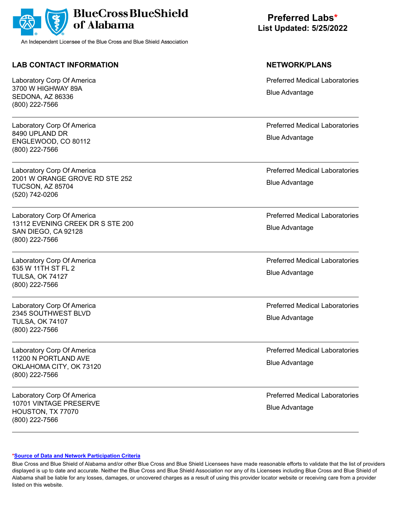

## **LAB CONTACT INFORMATION NETWORK/PLANS**

Laboratory Corp Of America 3700 W HIGHWAY 89A SEDONA, AZ 86336 (800) 222-7566

Laboratory Corp Of America 8490 UPLAND DR ENGLEWOOD, CO 80112 (800) 222-7566

Laboratory Corp Of America 2001 W ORANGE GROVE RD STE 252 TUCSON, AZ 85704 (520) 742-0206

Laboratory Corp Of America 13112 EVENING CREEK DR S STE 200 SAN DIEGO, CA 92128 (800) 222-7566

Laboratory Corp Of America 635 W 11TH ST FL 2 TULSA, OK 74127 (800) 222-7566

Laboratory Corp Of America 2345 SOUTHWEST BLVD TULSA, OK 74107 (800) 222-7566

Laboratory Corp Of America 11200 N PORTLAND AVE OKLAHOMA CITY, OK 73120 (800) 222-7566

Laboratory Corp Of America 10701 VINTAGE PRESERVE HOUSTON, TX 77070 (800) 222-7566

**Preferred Labs\* List Updated: 5/25/2022**

Preferred Medical Laboratories Blue Advantage

Preferred Medical Laboratories Blue Advantage

Preferred Medical Laboratories Blue Advantage

Preferred Medical Laboratories Blue Advantage

Preferred Medical Laboratories Blue Advantage

Preferred Medical Laboratories Blue Advantage

Preferred Medical Laboratories Blue Advantage

Preferred Medical Laboratories Blue Advantage

### **[\\*Source of Data and Network Participation Criteria](https://www.bcbsal.org/pdfs/DataSources.pdf)**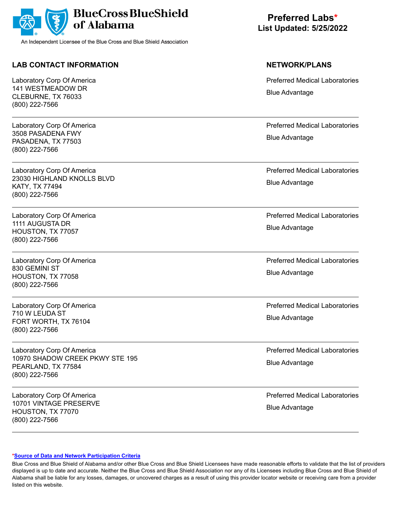

## **LAB CONTACT INFORMATION NETWORK/PLANS**

Laboratory Corp Of America 141 WESTMEADOW DR CLEBURNE, TX 76033 (800) 222-7566

Laboratory Corp Of America 3508 PASADENA FWY PASADENA, TX 77503 (800) 222-7566

Laboratory Corp Of America 23030 HIGHLAND KNOLLS BLVD KATY, TX 77494 (800) 222-7566

Laboratory Corp Of America 1111 AUGUSTA DR HOUSTON, TX 77057 (800) 222-7566

Laboratory Corp Of America 830 GEMINI ST HOUSTON, TX 77058 (800) 222-7566

Laboratory Corp Of America 710 W LEUDA ST FORT WORTH, TX 76104 (800) 222-7566

Laboratory Corp Of America 10970 SHADOW CREEK PKWY STE 195 PEARLAND, TX 77584 (800) 222-7566

Laboratory Corp Of America 10701 VINTAGE PRESERVE HOUSTON, TX 77070 (800) 222-7566

**Preferred Labs\* List Updated: 5/25/2022**

Preferred Medical Laboratories Blue Advantage

Preferred Medical Laboratories Blue Advantage

Preferred Medical Laboratories Blue Advantage

Preferred Medical Laboratories Blue Advantage

Preferred Medical Laboratories Blue Advantage

Preferred Medical Laboratories Blue Advantage

Preferred Medical Laboratories Blue Advantage

Preferred Medical Laboratories Blue Advantage

### **[\\*Source of Data and Network Participation Criteria](https://www.bcbsal.org/pdfs/DataSources.pdf)**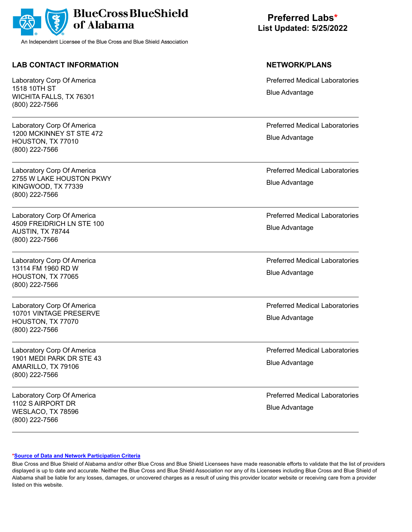

## **LAB CONTACT INFORMATION NETWORK/PLANS**

Laboratory Corp Of America 1518 10TH ST WICHITA FALLS, TX 76301 (800) 222-7566

Laboratory Corp Of America 1200 MCKINNEY ST STE 472 HOUSTON, TX 77010 (800) 222-7566

Laboratory Corp Of America 2755 W LAKE HOUSTON PKWY KINGWOOD, TX 77339 (800) 222-7566

Laboratory Corp Of America 4509 FREIDRICH LN STE 100 AUSTIN, TX 78744 (800) 222-7566

Laboratory Corp Of America 13114 FM 1960 RD W HOUSTON, TX 77065 (800) 222-7566

Laboratory Corp Of America 10701 VINTAGE PRESERVE HOUSTON, TX 77070 (800) 222-7566

Laboratory Corp Of America 1901 MEDI PARK DR STE 43 AMARILLO, TX 79106 (800) 222-7566

Laboratory Corp Of America 1102 S AIRPORT DR WESLACO, TX 78596 (800) 222-7566

**Preferred Labs\* List Updated: 5/25/2022**

Preferred Medical Laboratories Blue Advantage

Preferred Medical Laboratories Blue Advantage

Preferred Medical Laboratories Blue Advantage

Preferred Medical Laboratories Blue Advantage

Preferred Medical Laboratories Blue Advantage

Preferred Medical Laboratories Blue Advantage

Preferred Medical Laboratories Blue Advantage

Preferred Medical Laboratories Blue Advantage

### **[\\*Source of Data and Network Participation Criteria](https://www.bcbsal.org/pdfs/DataSources.pdf)**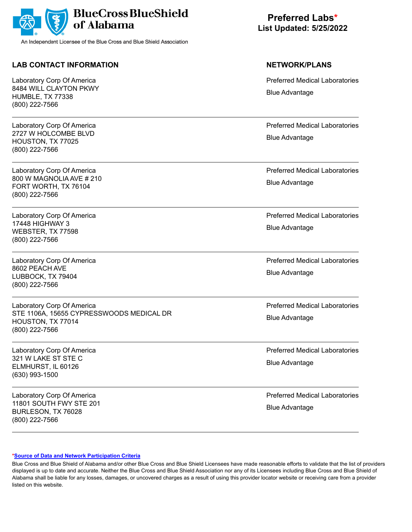

## **LAB CONTACT INFORMATION NETWORK/PLANS**

Laboratory Corp Of America 8484 WILL CLAYTON PKWY HUMBLE, TX 77338 (800) 222-7566

Laboratory Corp Of America 2727 W HOLCOMBE BLVD HOUSTON, TX 77025 (800) 222-7566

Laboratory Corp Of America 800 W MAGNOLIA AVE # 210 FORT WORTH, TX 76104 (800) 222-7566

Laboratory Corp Of America 17448 HIGHWAY 3 WEBSTER, TX 77598 (800) 222-7566

Laboratory Corp Of America 8602 PEACH AVE LUBBOCK, TX 79404 (800) 222-7566

Laboratory Corp Of America STE 1106A, 15655 CYPRESSWOODS MEDICAL DR HOUSTON, TX 77014 (800) 222-7566

Laboratory Corp Of America 321 W LAKE ST STE C ELMHURST, IL 60126 (630) 993-1500

Laboratory Corp Of America 11801 SOUTH FWY STE 201 BURLESON, TX 76028 (800) 222-7566

**Preferred Labs\* List Updated: 5/25/2022**

Preferred Medical Laboratories Blue Advantage

Preferred Medical Laboratories Blue Advantage

Preferred Medical Laboratories Blue Advantage

Preferred Medical Laboratories Blue Advantage

Preferred Medical Laboratories Blue Advantage

Preferred Medical Laboratories Blue Advantage

Preferred Medical Laboratories Blue Advantage

Preferred Medical Laboratories Blue Advantage

### **[\\*Source of Data and Network Participation Criteria](https://www.bcbsal.org/pdfs/DataSources.pdf)**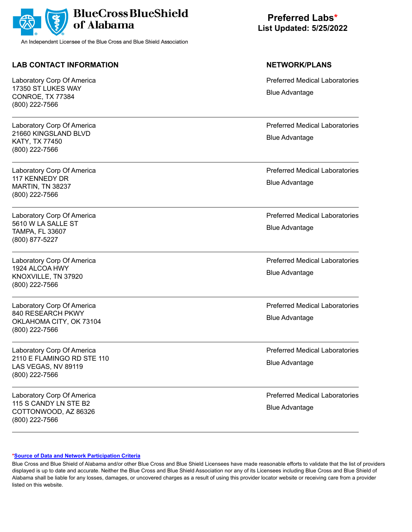

## **LAB CONTACT INFORMATION NETWORK/PLANS**

Laboratory Corp Of America 17350 ST LUKES WAY CONROE, TX 77384 (800) 222-7566

Laboratory Corp Of America 21660 KINGSLAND BLVD KATY, TX 77450 (800) 222-7566

Laboratory Corp Of America 117 KENNEDY DR MARTIN, TN 38237 (800) 222-7566

Laboratory Corp Of America 5610 W LA SALLE ST TAMPA, FL 33607 (800) 877-5227

Laboratory Corp Of America 1924 ALCOA HWY KNOXVILLE, TN 37920 (800) 222-7566

Laboratory Corp Of America 840 RESEARCH PKWY OKLAHOMA CITY, OK 73104 (800) 222-7566

Laboratory Corp Of America 2110 E FLAMINGO RD STE 110 LAS VEGAS, NV 89119 (800) 222-7566

Laboratory Corp Of America 115 S CANDY LN STE B2 COTTONWOOD, AZ 86326 (800) 222-7566

**Preferred Labs\* List Updated: 5/25/2022**

Preferred Medical Laboratories Blue Advantage

Preferred Medical Laboratories Blue Advantage

Preferred Medical Laboratories Blue Advantage

Preferred Medical Laboratories Blue Advantage

Preferred Medical Laboratories Blue Advantage

Preferred Medical Laboratories Blue Advantage

Preferred Medical Laboratories Blue Advantage

Preferred Medical Laboratories Blue Advantage

### **[\\*Source of Data and Network Participation Criteria](https://www.bcbsal.org/pdfs/DataSources.pdf)**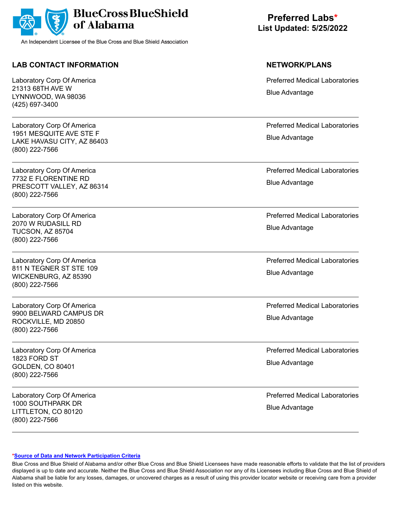

## **LAB CONTACT INFORMATION NETWORK/PLANS**

Laboratory Corp Of America 21313 68TH AVE W LYNNWOOD, WA 98036 (425) 697-3400

Laboratory Corp Of America 1951 MESQUITE AVE STE F LAKE HAVASU CITY, AZ 86403 (800) 222-7566

Laboratory Corp Of America 7732 E FLORENTINE RD PRESCOTT VALLEY, AZ 86314 (800) 222-7566

Laboratory Corp Of America 2070 W RUDASILL RD TUCSON, AZ 85704 (800) 222-7566

Laboratory Corp Of America 811 N TEGNER ST STE 109 WICKENBURG, AZ 85390 (800) 222-7566

Laboratory Corp Of America 9900 BELWARD CAMPUS DR ROCKVILLE, MD 20850 (800) 222-7566

Laboratory Corp Of America 1823 FORD ST GOLDEN, CO 80401 (800) 222-7566

Laboratory Corp Of America 1000 SOUTHPARK DR LITTLETON, CO 80120 (800) 222-7566

**Preferred Labs\* List Updated: 5/25/2022**

Preferred Medical Laboratories Blue Advantage

Preferred Medical Laboratories Blue Advantage

Preferred Medical Laboratories Blue Advantage

Preferred Medical Laboratories Blue Advantage

Preferred Medical Laboratories Blue Advantage

Preferred Medical Laboratories Blue Advantage

Preferred Medical Laboratories Blue Advantage

Preferred Medical Laboratories Blue Advantage

### **[\\*Source of Data and Network Participation Criteria](https://www.bcbsal.org/pdfs/DataSources.pdf)**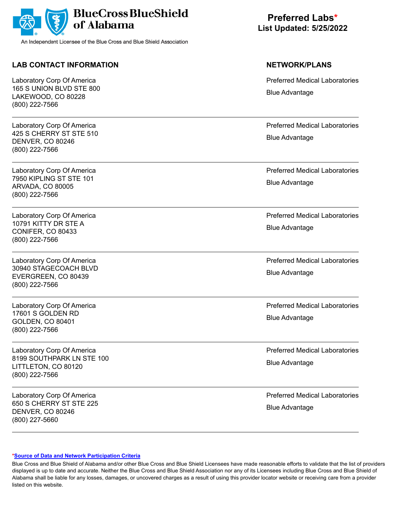

## **LAB CONTACT INFORMATION NETWORK/PLANS**

Laboratory Corp Of America 165 S UNION BLVD STE 800 LAKEWOOD, CO 80228 (800) 222-7566

Laboratory Corp Of America 425 S CHERRY ST STE 510 DENVER, CO 80246 (800) 222-7566

Laboratory Corp Of America 7950 KIPLING ST STE 101 ARVADA, CO 80005 (800) 222-7566

Laboratory Corp Of America 10791 KITTY DR STE A CONIFER, CO 80433 (800) 222-7566

Laboratory Corp Of America 30940 STAGECOACH BLVD EVERGREEN, CO 80439 (800) 222-7566

Laboratory Corp Of America 17601 S GOLDEN RD GOLDEN, CO 80401 (800) 222-7566

Laboratory Corp Of America 8199 SOUTHPARK LN STE 100 LITTLETON, CO 80120 (800) 222-7566

Laboratory Corp Of America 650 S CHERRY ST STE 225 DENVER, CO 80246 (800) 227-5660

**Preferred Labs\* List Updated: 5/25/2022**

Preferred Medical Laboratories Blue Advantage

Preferred Medical Laboratories Blue Advantage

Preferred Medical Laboratories Blue Advantage

Preferred Medical Laboratories Blue Advantage

Preferred Medical Laboratories Blue Advantage

Preferred Medical Laboratories Blue Advantage

Preferred Medical Laboratories Blue Advantage

Preferred Medical Laboratories Blue Advantage

### **[\\*Source of Data and Network Participation Criteria](https://www.bcbsal.org/pdfs/DataSources.pdf)**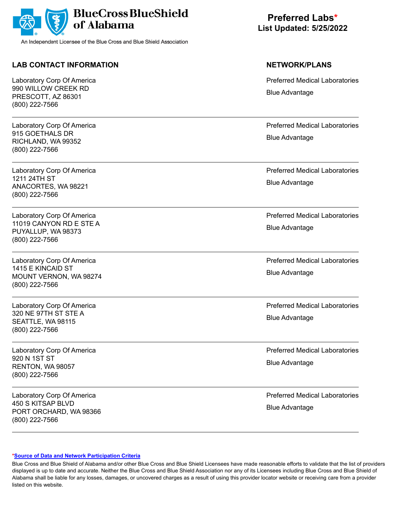

## **LAB CONTACT INFORMATION NETWORK/PLANS**

Laboratory Corp Of America 990 WILLOW CREEK RD PRESCOTT, AZ 86301 (800) 222-7566

Laboratory Corp Of America 915 GOETHALS DR RICHLAND, WA 99352 (800) 222-7566

Laboratory Corp Of America 1211 24TH ST ANACORTES, WA 98221 (800) 222-7566

Laboratory Corp Of America 11019 CANYON RD E STE A PUYALLUP, WA 98373 (800) 222-7566

Laboratory Corp Of America 1415 E KINCAID ST MOUNT VERNON, WA 98274 (800) 222-7566

Laboratory Corp Of America 320 NE 97TH ST STE A SEATTLE, WA 98115 (800) 222-7566

Laboratory Corp Of America 920 N 1ST ST RENTON, WA 98057 (800) 222-7566

Laboratory Corp Of America 450 S KITSAP BLVD PORT ORCHARD, WA 98366 (800) 222-7566

**Preferred Labs\* List Updated: 5/25/2022**

Preferred Medical Laboratories Blue Advantage

Preferred Medical Laboratories Blue Advantage

Preferred Medical Laboratories Blue Advantage

Preferred Medical Laboratories Blue Advantage

Preferred Medical Laboratories Blue Advantage

Preferred Medical Laboratories Blue Advantage

Preferred Medical Laboratories Blue Advantage

Preferred Medical Laboratories Blue Advantage

### **[\\*Source of Data and Network Participation Criteria](https://www.bcbsal.org/pdfs/DataSources.pdf)**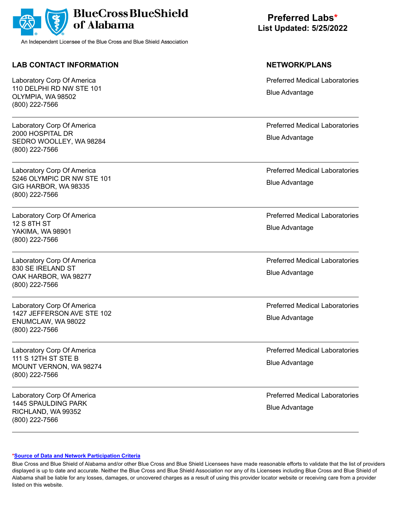

## **LAB CONTACT INFORMATION NETWORK/PLANS**

Laboratory Corp Of America 110 DELPHI RD NW STE 101 OLYMPIA, WA 98502 (800) 222-7566

Laboratory Corp Of America 2000 HOSPITAL DR SEDRO WOOLLEY, WA 98284 (800) 222-7566

Laboratory Corp Of America 5246 OLYMPIC DR NW STE 101 GIG HARBOR, WA 98335 (800) 222-7566

Laboratory Corp Of America 12 S 8TH ST YAKIMA, WA 98901 (800) 222-7566

Laboratory Corp Of America 830 SE IRELAND ST OAK HARBOR, WA 98277 (800) 222-7566

Laboratory Corp Of America 1427 JEFFERSON AVE STE 102 ENUMCLAW, WA 98022 (800) 222-7566

Laboratory Corp Of America 111 S 12TH ST STE B MOUNT VERNON, WA 98274 (800) 222-7566

Laboratory Corp Of America 1445 SPAULDING PARK RICHLAND, WA 99352 (800) 222-7566

**Preferred Labs\* List Updated: 5/25/2022**

Preferred Medical Laboratories Blue Advantage

Preferred Medical Laboratories Blue Advantage

Preferred Medical Laboratories Blue Advantage

Preferred Medical Laboratories Blue Advantage

Preferred Medical Laboratories Blue Advantage

Preferred Medical Laboratories Blue Advantage

Preferred Medical Laboratories Blue Advantage

Preferred Medical Laboratories Blue Advantage

### **[\\*Source of Data and Network Participation Criteria](https://www.bcbsal.org/pdfs/DataSources.pdf)**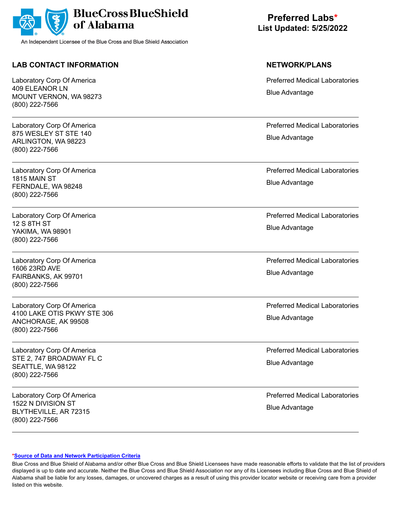

## **LAB CONTACT INFORMATION NETWORK/PLANS**

Laboratory Corp Of America 409 ELEANOR LN MOUNT VERNON, WA 98273 (800) 222-7566

Laboratory Corp Of America 875 WESLEY ST STE 140 ARLINGTON, WA 98223 (800) 222-7566

Laboratory Corp Of America 1815 MAIN ST FERNDALE, WA 98248 (800) 222-7566

Laboratory Corp Of America 12 S 8TH ST YAKIMA, WA 98901 (800) 222-7566

Laboratory Corp Of America 1606 23RD AVE FAIRBANKS, AK 99701 (800) 222-7566

Laboratory Corp Of America 4100 LAKE OTIS PKWY STE 306 ANCHORAGE, AK 99508 (800) 222-7566

Laboratory Corp Of America STE 2, 747 BROADWAY FL C SEATTLE, WA 98122 (800) 222-7566

Laboratory Corp Of America 1522 N DIVISION ST BLYTHEVILLE, AR 72315 (800) 222-7566

**Preferred Labs\* List Updated: 5/25/2022**

Preferred Medical Laboratories Blue Advantage

Preferred Medical Laboratories Blue Advantage

Preferred Medical Laboratories Blue Advantage

Preferred Medical Laboratories Blue Advantage

Preferred Medical Laboratories Blue Advantage

Preferred Medical Laboratories Blue Advantage

Preferred Medical Laboratories Blue Advantage

Preferred Medical Laboratories Blue Advantage

### **[\\*Source of Data and Network Participation Criteria](https://www.bcbsal.org/pdfs/DataSources.pdf)**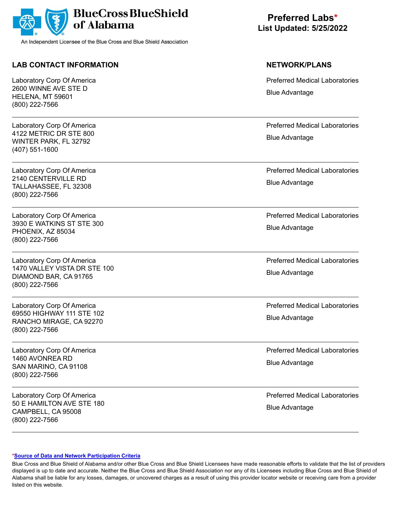

## **LAB CONTACT INFORMATION NETWORK/PLANS**

Laboratory Corp Of America 2600 WINNE AVE STE D HELENA, MT 59601 (800) 222-7566

Laboratory Corp Of America 4122 METRIC DR STE 800 WINTER PARK, FL 32792 (407) 551-1600

Laboratory Corp Of America 2140 CENTERVILLE RD TALLAHASSEE, FL 32308 (800) 222-7566

Laboratory Corp Of America 3930 E WATKINS ST STE 300 PHOENIX, AZ 85034 (800) 222-7566

Laboratory Corp Of America 1470 VALLEY VISTA DR STE 100 DIAMOND BAR, CA 91765 (800) 222-7566

Laboratory Corp Of America 69550 HIGHWAY 111 STE 102 RANCHO MIRAGE, CA 92270 (800) 222-7566

Laboratory Corp Of America 1460 AVONREA RD SAN MARINO, CA 91108 (800) 222-7566

Laboratory Corp Of America 50 E HAMILTON AVE STE 180 CAMPBELL, CA 95008 (800) 222-7566

**Preferred Labs\* List Updated: 5/25/2022**

Preferred Medical Laboratories Blue Advantage

Preferred Medical Laboratories Blue Advantage

Preferred Medical Laboratories Blue Advantage

Preferred Medical Laboratories Blue Advantage

Preferred Medical Laboratories Blue Advantage

Preferred Medical Laboratories Blue Advantage

Preferred Medical Laboratories Blue Advantage

Preferred Medical Laboratories Blue Advantage

### **[\\*Source of Data and Network Participation Criteria](https://www.bcbsal.org/pdfs/DataSources.pdf)**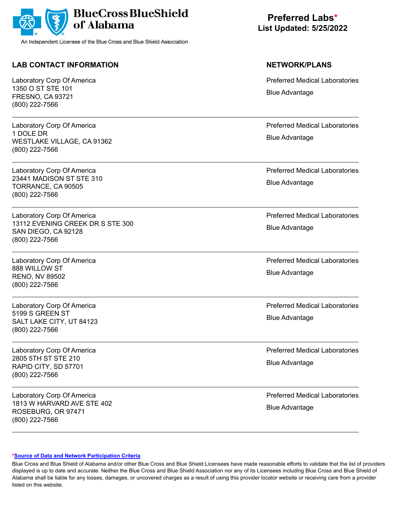

## **LAB CONTACT INFORMATION NETWORK/PLANS**

Laboratory Corp Of America 1350 O ST STE 101 FRESNO, CA 93721 (800) 222-7566

Laboratory Corp Of America 1 DOLE DR WESTLAKE VILLAGE, CA 91362 (800) 222-7566

Laboratory Corp Of America 23441 MADISON ST STE 310 TORRANCE, CA 90505 (800) 222-7566

Laboratory Corp Of America 13112 EVENING CREEK DR S STE 300 SAN DIEGO, CA 92128 (800) 222-7566

Laboratory Corp Of America 888 WILLOW ST RENO, NV 89502 (800) 222-7566

Laboratory Corp Of America 5199 S GREEN ST SALT LAKE CITY, UT 84123 (800) 222-7566

Laboratory Corp Of America 2805 5TH ST STE 210 RAPID CITY, SD 57701 (800) 222-7566

Laboratory Corp Of America 1813 W HARVARD AVE STE 402 ROSEBURG, OR 97471 (800) 222-7566

**Preferred Labs\* List Updated: 5/25/2022**

Preferred Medical Laboratories Blue Advantage

Preferred Medical Laboratories Blue Advantage

Preferred Medical Laboratories Blue Advantage

Preferred Medical Laboratories Blue Advantage

Preferred Medical Laboratories Blue Advantage

Preferred Medical Laboratories Blue Advantage

Preferred Medical Laboratories Blue Advantage

Preferred Medical Laboratories Blue Advantage

### **[\\*Source of Data and Network Participation Criteria](https://www.bcbsal.org/pdfs/DataSources.pdf)**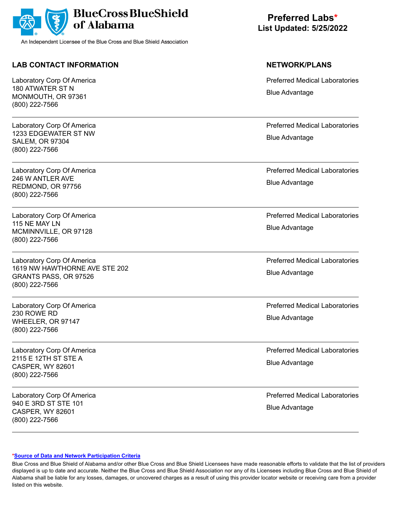

## **LAB CONTACT INFORMATION NETWORK/PLANS**

Laboratory Corp Of America 180 ATWATER ST N MONMOUTH, OR 97361 (800) 222-7566

Laboratory Corp Of America 1233 EDGEWATER ST NW SALEM, OR 97304 (800) 222-7566

Laboratory Corp Of America 246 W ANTLER AVE REDMOND, OR 97756 (800) 222-7566

Laboratory Corp Of America 115 NE MAY LN MCMINNVILLE, OR 97128 (800) 222-7566

Laboratory Corp Of America 1619 NW HAWTHORNE AVE STE 202 GRANTS PASS, OR 97526 (800) 222-7566

Laboratory Corp Of America 230 ROWE RD WHEELER, OR 97147 (800) 222-7566

Laboratory Corp Of America 2115 E 12TH ST STE A CASPER, WY 82601 (800) 222-7566

Laboratory Corp Of America 940 E 3RD ST STE 101 CASPER, WY 82601 (800) 222-7566

**Preferred Labs\* List Updated: 5/25/2022**

Preferred Medical Laboratories Blue Advantage

Preferred Medical Laboratories Blue Advantage

Preferred Medical Laboratories Blue Advantage

Preferred Medical Laboratories Blue Advantage

Preferred Medical Laboratories Blue Advantage

Preferred Medical Laboratories Blue Advantage

Preferred Medical Laboratories Blue Advantage

Preferred Medical Laboratories Blue Advantage

### **[\\*Source of Data and Network Participation Criteria](https://www.bcbsal.org/pdfs/DataSources.pdf)**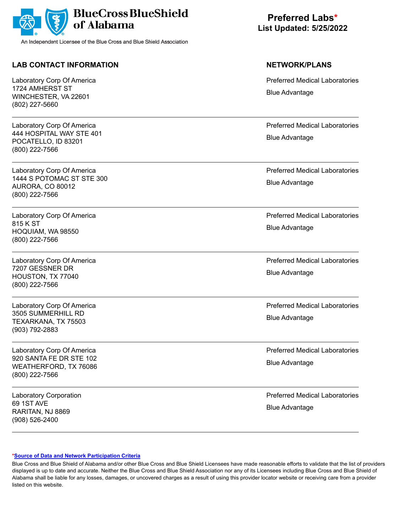

## **LAB CONTACT INFORMATION NETWORK/PLANS**

Laboratory Corp Of America 1724 AMHERST ST WINCHESTER, VA 22601 (802) 227-5660

Laboratory Corp Of America 444 HOSPITAL WAY STE 401 POCATELLO, ID 83201 (800) 222-7566

Laboratory Corp Of America 1444 S POTOMAC ST STE 300 AURORA, CO 80012 (800) 222-7566

Laboratory Corp Of America 815 K ST HOQUIAM, WA 98550 (800) 222-7566

Laboratory Corp Of America 7207 GESSNER DR HOUSTON, TX 77040 (800) 222-7566

Laboratory Corp Of America 3505 SUMMERHILL RD TEXARKANA, TX 75503 (903) 792-2883

Laboratory Corp Of America 920 SANTA FE DR STE 102 WEATHERFORD, TX 76086 (800) 222-7566

Laboratory Corporation 69 1ST AVE RARITAN, NJ 8869 (908) 526-2400

**Preferred Labs\* List Updated: 5/25/2022**

Preferred Medical Laboratories Blue Advantage

Preferred Medical Laboratories Blue Advantage

Preferred Medical Laboratories Blue Advantage

Preferred Medical Laboratories Blue Advantage

Preferred Medical Laboratories Blue Advantage

Preferred Medical Laboratories Blue Advantage

Preferred Medical Laboratories Blue Advantage

Preferred Medical Laboratories Blue Advantage

### **[\\*Source of Data and Network Participation Criteria](https://www.bcbsal.org/pdfs/DataSources.pdf)**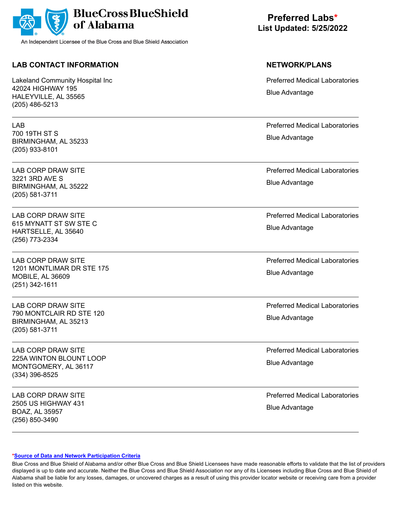

## **LAB CONTACT INFORMATION NETWORK/PLANS**

Lakeland Community Hospital Inc 42024 HIGHWAY 195 HALEYVILLE, AL 35565 (205) 486-5213

LAB 700 19TH ST S BIRMINGHAM, AL 35233 (205) 933-8101

LAB CORP DRAW SITE 3221 3RD AVE S BIRMINGHAM, AL 35222 (205) 581-3711

LAB CORP DRAW SITE 615 MYNATT ST SW STE C HARTSELLE, AL 35640 (256) 773-2334

LAB CORP DRAW SITE 1201 MONTLIMAR DR STE 175 MOBILE, AL 36609 (251) 342-1611

LAB CORP DRAW SITE 790 MONTCLAIR RD STE 120 BIRMINGHAM, AL 35213 (205) 581-3711

LAB CORP DRAW SITE 225A WINTON BLOUNT LOOP MONTGOMERY, AL 36117 (334) 396-8525

LAB CORP DRAW SITE 2505 US HIGHWAY 431 BOAZ, AL 35957 (256) 850-3490

**Preferred Labs\* List Updated: 5/25/2022**

Preferred Medical Laboratories Blue Advantage

Preferred Medical Laboratories Blue Advantage

Preferred Medical Laboratories Blue Advantage

Preferred Medical Laboratories Blue Advantage

Preferred Medical Laboratories Blue Advantage

Preferred Medical Laboratories Blue Advantage

Preferred Medical Laboratories Blue Advantage

Preferred Medical Laboratories Blue Advantage

### **[\\*Source of Data and Network Participation Criteria](https://www.bcbsal.org/pdfs/DataSources.pdf)**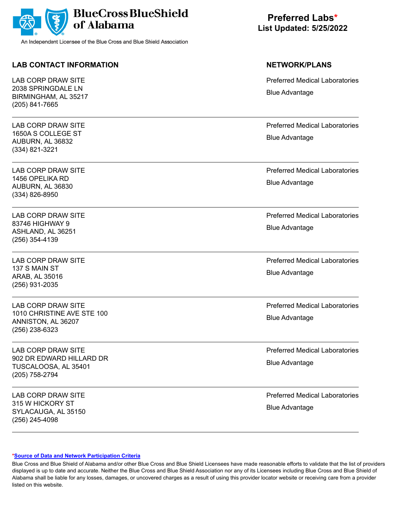

## **LAB CONTACT INFORMATION NETWORK/PLANS**

LAB CORP DRAW SITE 2038 SPRINGDALE LN BIRMINGHAM, AL 35217 (205) 841-7665

LAB CORP DRAW SITE 1650A S COLLEGE ST AUBURN, AL 36832 (334) 821-3221

LAB CORP DRAW SITE 1456 OPELIKA RD AUBURN, AL 36830 (334) 826-8950

LAB CORP DRAW SITE 83746 HIGHWAY 9 ASHLAND, AL 36251 (256) 354-4139

LAB CORP DRAW SITE 137 S MAIN ST ARAB, AL 35016 (256) 931-2035

LAB CORP DRAW SITE 1010 CHRISTINE AVE STE 100 ANNISTON, AL 36207 (256) 238-6323

LAB CORP DRAW SITE 902 DR EDWARD HILLARD DR TUSCALOOSA, AL 35401 (205) 758-2794

LAB CORP DRAW SITE 315 W HICKORY ST SYLACAUGA, AL 35150 (256) 245-4098

**Preferred Labs\* List Updated: 5/25/2022**

Preferred Medical Laboratories Blue Advantage

Preferred Medical Laboratories Blue Advantage

Preferred Medical Laboratories Blue Advantage

Preferred Medical Laboratories Blue Advantage

Preferred Medical Laboratories Blue Advantage

Preferred Medical Laboratories Blue Advantage

Preferred Medical Laboratories Blue Advantage

Preferred Medical Laboratories Blue Advantage

### **[\\*Source of Data and Network Participation Criteria](https://www.bcbsal.org/pdfs/DataSources.pdf)**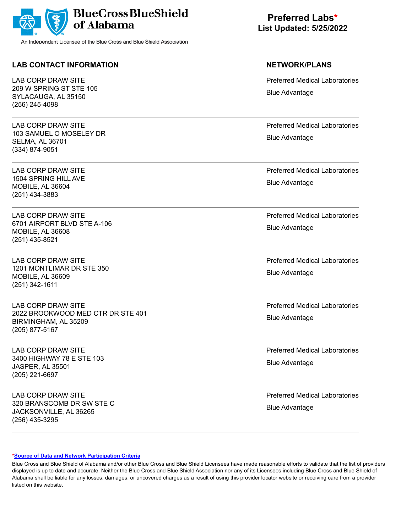

## **LAB CONTACT INFORMATION NETWORK/PLANS**

LAB CORP DRAW SITE 209 W SPRING ST STE 105 SYLACAUGA, AL 35150 (256) 245-4098

LAB CORP DRAW SITE 103 SAMUEL O MOSELEY DR SELMA, AL 36701 (334) 874-9051

LAB CORP DRAW SITE 1504 SPRING HILL AVE MOBILE, AL 36604 (251) 434-3883

LAB CORP DRAW SITE 6701 AIRPORT BLVD STE A-106 MOBILE, AL 36608 (251) 435-8521

LAB CORP DRAW SITE 1201 MONTLIMAR DR STE 350 MOBILE, AL 36609 (251) 342-1611

LAB CORP DRAW SITE 2022 BROOKWOOD MED CTR DR STE 401 BIRMINGHAM, AL 35209 (205) 877-5167

LAB CORP DRAW SITE 3400 HIGHWAY 78 E STE 103 JASPER, AL 35501 (205) 221-6697

LAB CORP DRAW SITE 320 BRANSCOMB DR SW STE C JACKSONVILLE, AL 36265 (256) 435-3295

**Preferred Labs\* List Updated: 5/25/2022**

Preferred Medical Laboratories Blue Advantage

Preferred Medical Laboratories Blue Advantage

Preferred Medical Laboratories Blue Advantage

Preferred Medical Laboratories Blue Advantage

Preferred Medical Laboratories Blue Advantage

Preferred Medical Laboratories Blue Advantage

Preferred Medical Laboratories Blue Advantage

Preferred Medical Laboratories Blue Advantage

### **[\\*Source of Data and Network Participation Criteria](https://www.bcbsal.org/pdfs/DataSources.pdf)**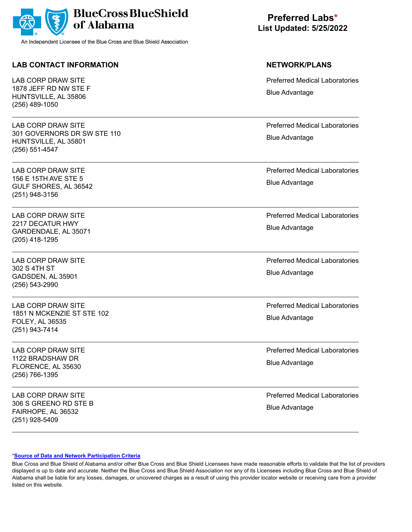

## **LAB CONTACT INFORMATION NETWORK/PLANS**

LAB CORP DRAW SITE 1878 JEFF RD NW STE F HUNTSVILLE, AL 35806 (256) 489-1050

LAB CORP DRAW SITE 301 GOVERNORS DR SW STE 110 HUNTSVILLE, AL 35801 (256) 551-4547

LAB CORP DRAW SITE 156 E 15TH AVE STE 5 GULF SHORES, AL 36542 (251) 948-3156

LAB CORP DRAW SITE 2217 DECATUR HWY GARDENDALE, AL 35071 (205) 418-1295

LAB CORP DRAW SITE 302 S 4TH ST GADSDEN, AL 35901 (256) 543-2990

LAB CORP DRAW SITE 1851 N MCKENZIE ST STE 102 FOLEY, AL 36535 (251) 943-7414

LAB CORP DRAW SITE 1122 BRADSHAW DR FLORENCE, AL 35630 (256) 766-1395

LAB CORP DRAW SITE 306 S GREENO RD STE B FAIRHOPE, AL 36532 (251) 928-5409

**Preferred Labs\* List Updated: 5/25/2022**

Preferred Medical Laboratories Blue Advantage

Preferred Medical Laboratories Blue Advantage

Preferred Medical Laboratories Blue Advantage

Preferred Medical Laboratories Blue Advantage

Preferred Medical Laboratories Blue Advantage

Preferred Medical Laboratories Blue Advantage

Preferred Medical Laboratories Blue Advantage

Preferred Medical Laboratories Blue Advantage

### **[\\*Source of Data and Network Participation Criteria](https://www.bcbsal.org/pdfs/DataSources.pdf)**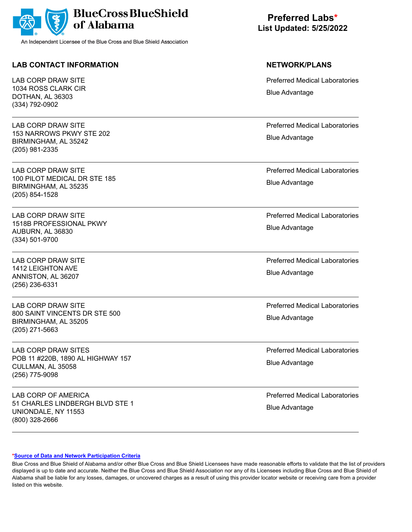

## **LAB CONTACT INFORMATION NETWORK/PLANS**

LAB CORP DRAW SITE 1034 ROSS CLARK CIR DOTHAN, AL 36303 (334) 792-0902

LAB CORP DRAW SITE 153 NARROWS PKWY STE 202 BIRMINGHAM, AL 35242 (205) 981-2335

LAB CORP DRAW SITE 100 PILOT MEDICAL DR STE 185 BIRMINGHAM, AL 35235 (205) 854-1528

LAB CORP DRAW SITE 1518B PROFESSIONAL PKWY AUBURN, AL 36830 (334) 501-9700

LAB CORP DRAW SITE 1412 LEIGHTON AVE ANNISTON, AL 36207 (256) 236-6331

LAB CORP DRAW SITE 800 SAINT VINCENTS DR STE 500 BIRMINGHAM, AL 35205 (205) 271-5663

LAB CORP DRAW SITES POB 11 #220B, 1890 AL HIGHWAY 157 CULLMAN, AL 35058 (256) 775-9098

LAB CORP OF AMERICA 51 CHARLES LINDBERGH BLVD STE 1 UNIONDALE, NY 11553 (800) 328-2666

**Preferred Labs\* List Updated: 5/25/2022**

Preferred Medical Laboratories Blue Advantage

Preferred Medical Laboratories Blue Advantage

Preferred Medical Laboratories Blue Advantage

Preferred Medical Laboratories Blue Advantage

Preferred Medical Laboratories Blue Advantage

Preferred Medical Laboratories Blue Advantage

Preferred Medical Laboratories Blue Advantage

Preferred Medical Laboratories Blue Advantage

### **[\\*Source of Data and Network Participation Criteria](https://www.bcbsal.org/pdfs/DataSources.pdf)**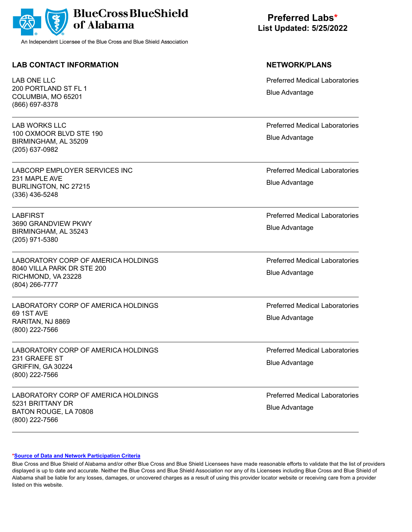

## **LAB CONTACT INFORMATION NETWORK/PLANS**

LAB ONE LLC 200 PORTLAND ST FL 1 COLUMBIA, MO 65201 (866) 697-8378

LAB WORKS LLC 100 OXMOOR BLVD STE 190 BIRMINGHAM, AL 35209 (205) 637-0982

LABCORP EMPLOYER SERVICES INC 231 MAPLE AVE BURLINGTON, NC 27215 (336) 436-5248

LABFIRST 3690 GRANDVIEW PKWY BIRMINGHAM, AL 35243 (205) 971-5380

LABORATORY CORP OF AMERICA HOLDINGS 8040 VILLA PARK DR STE 200 RICHMOND, VA 23228 (804) 266-7777

LABORATORY CORP OF AMERICA HOLDINGS 69 1ST AVE RARITAN, NJ 8869 (800) 222-7566

LABORATORY CORP OF AMERICA HOLDINGS 231 GRAEFE ST GRIFFIN, GA 30224 (800) 222-7566

LABORATORY CORP OF AMERICA HOLDINGS 5231 BRITTANY DR BATON ROUGE, LA 70808 (800) 222-7566

# **Preferred Labs\* List Updated: 5/25/2022**

Preferred Medical Laboratories Blue Advantage

Preferred Medical Laboratories Blue Advantage

Preferred Medical Laboratories Blue Advantage

Preferred Medical Laboratories Blue Advantage

Preferred Medical Laboratories Blue Advantage

Preferred Medical Laboratories Blue Advantage

Preferred Medical Laboratories Blue Advantage

Preferred Medical Laboratories Blue Advantage

### **[\\*Source of Data and Network Participation Criteria](https://www.bcbsal.org/pdfs/DataSources.pdf)**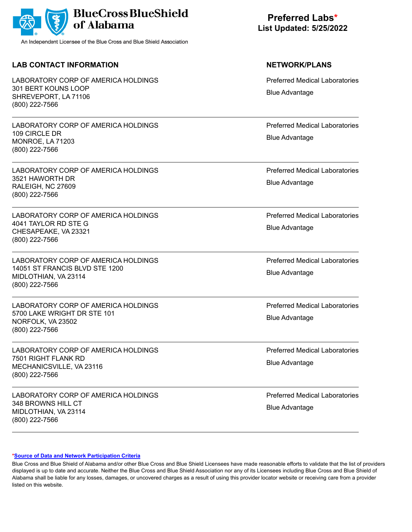

## **LAB CONTACT INFORMATION NETWORK/PLANS**

LABORATORY CORP OF AMERICA HOLDINGS 301 BERT KOUNS LOOP SHREVEPORT, LA 71106 (800) 222-7566

LABORATORY CORP OF AMERICA HOLDINGS 109 CIRCLE DR MONROE, LA 71203 (800) 222-7566

LABORATORY CORP OF AMERICA HOLDINGS 3521 HAWORTH DR RALEIGH, NC 27609 (800) 222-7566

LABORATORY CORP OF AMERICA HOLDINGS 4041 TAYLOR RD STE G CHESAPEAKE, VA 23321 (800) 222-7566

LABORATORY CORP OF AMERICA HOLDINGS 14051 ST FRANCIS BLVD STE 1200 MIDLOTHIAN, VA 23114 (800) 222-7566

LABORATORY CORP OF AMERICA HOLDINGS 5700 LAKE WRIGHT DR STE 101 NORFOLK, VA 23502 (800) 222-7566

LABORATORY CORP OF AMERICA HOLDINGS 7501 RIGHT FLANK RD MECHANICSVILLE, VA 23116 (800) 222-7566

LABORATORY CORP OF AMERICA HOLDINGS 348 BROWNS HILL CT MIDLOTHIAN, VA 23114 (800) 222-7566

# **Preferred Labs\* List Updated: 5/25/2022**

Preferred Medical Laboratories Blue Advantage

Preferred Medical Laboratories Blue Advantage

Preferred Medical Laboratories Blue Advantage

Preferred Medical Laboratories Blue Advantage

Preferred Medical Laboratories Blue Advantage

Preferred Medical Laboratories Blue Advantage

Preferred Medical Laboratories Blue Advantage

Preferred Medical Laboratories Blue Advantage

### **[\\*Source of Data and Network Participation Criteria](https://www.bcbsal.org/pdfs/DataSources.pdf)**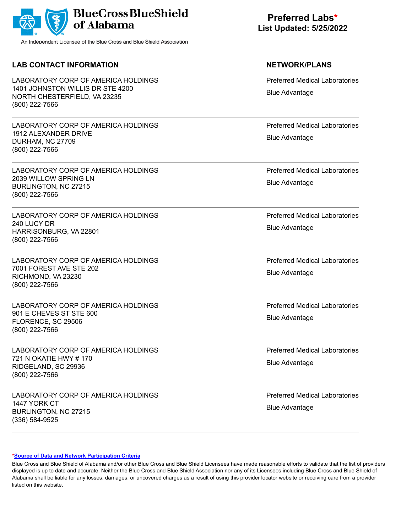

## **LAB CONTACT INFORMATION NETWORK/PLANS**

LABORATORY CORP OF AMERICA HOLDINGS 1401 JOHNSTON WILLIS DR STE 4200 NORTH CHESTERFIELD, VA 23235 (800) 222-7566

LABORATORY CORP OF AMERICA HOLDINGS 1912 ALEXANDER DRIVE DURHAM, NC 27709 (800) 222-7566

LABORATORY CORP OF AMERICA HOLDINGS 2039 WILLOW SPRING LN BURLINGTON, NC 27215 (800) 222-7566

LABORATORY CORP OF AMERICA HOLDINGS 240 LUCY DR HARRISONBURG, VA 22801 (800) 222-7566

LABORATORY CORP OF AMERICA HOLDINGS 7001 FOREST AVE STE 202 RICHMOND, VA 23230 (800) 222-7566

LABORATORY CORP OF AMERICA HOLDINGS 901 E CHEVES ST STE 600 FLORENCE, SC 29506 (800) 222-7566

LABORATORY CORP OF AMERICA HOLDINGS 721 N OKATIE HWY # 170 RIDGELAND, SC 29936 (800) 222-7566

LABORATORY CORP OF AMERICA HOLDINGS 1447 YORK CT BURLINGTON, NC 27215 (336) 584-9525

# **Preferred Labs\* List Updated: 5/25/2022**

Preferred Medical Laboratories Blue Advantage

Preferred Medical Laboratories Blue Advantage

Preferred Medical Laboratories Blue Advantage

Preferred Medical Laboratories Blue Advantage

Preferred Medical Laboratories Blue Advantage

Preferred Medical Laboratories Blue Advantage

Preferred Medical Laboratories Blue Advantage

Preferred Medical Laboratories Blue Advantage

### **[\\*Source of Data and Network Participation Criteria](https://www.bcbsal.org/pdfs/DataSources.pdf)**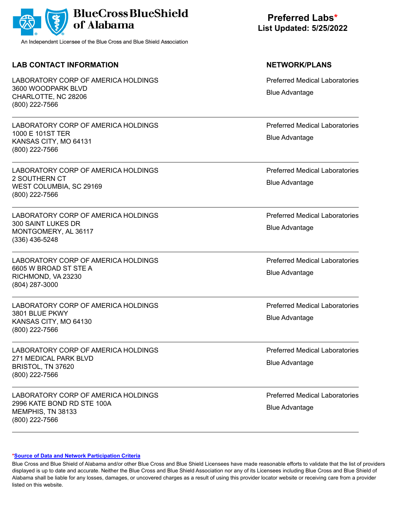

## **LAB CONTACT INFORMATION NETWORK/PLANS**

LABORATORY CORP OF AMERICA HOLDINGS 3600 WOODPARK BLVD CHARLOTTE, NC 28206 (800) 222-7566

LABORATORY CORP OF AMERICA HOLDINGS 1000 E 101ST TER KANSAS CITY, MO 64131 (800) 222-7566

LABORATORY CORP OF AMERICA HOLDINGS 2 SOUTHERN CT WEST COLUMBIA, SC 29169 (800) 222-7566

LABORATORY CORP OF AMERICA HOLDINGS 300 SAINT LUKES DR MONTGOMERY, AL 36117 (336) 436-5248

LABORATORY CORP OF AMERICA HOLDINGS 6605 W BROAD ST STE A RICHMOND, VA 23230 (804) 287-3000

LABORATORY CORP OF AMERICA HOLDINGS 3801 BLUE PKWY KANSAS CITY, MO 64130 (800) 222-7566

LABORATORY CORP OF AMERICA HOLDINGS 271 MEDICAL PARK BLVD BRISTOL, TN 37620 (800) 222-7566

LABORATORY CORP OF AMERICA HOLDINGS 2996 KATE BOND RD STE 100A MEMPHIS, TN 38133 (800) 222-7566

# **Preferred Labs\* List Updated: 5/25/2022**

Preferred Medical Laboratories Blue Advantage

Preferred Medical Laboratories Blue Advantage

Preferred Medical Laboratories Blue Advantage

Preferred Medical Laboratories Blue Advantage

Preferred Medical Laboratories Blue Advantage

Preferred Medical Laboratories Blue Advantage

Preferred Medical Laboratories Blue Advantage

Preferred Medical Laboratories Blue Advantage

### **[\\*Source of Data and Network Participation Criteria](https://www.bcbsal.org/pdfs/DataSources.pdf)**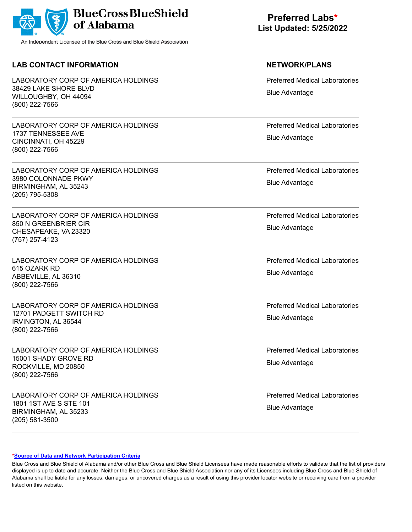|  | BlueCross BlueShield |
|--|----------------------|
|--|----------------------|

## **LAB CONTACT INFORMATION NETWORK/PLANS**

LABORATORY CORP OF AMERICA HOLDINGS 38429 LAKE SHORE BLVD WILLOUGHBY, OH 44094 (800) 222-7566

LABORATORY CORP OF AMERICA HOLDINGS 1737 TENNESSEE AVE CINCINNATI, OH 45229 (800) 222-7566

LABORATORY CORP OF AMERICA HOLDINGS 3980 COLONNADE PKWY BIRMINGHAM, AL 35243 (205) 795-5308

LABORATORY CORP OF AMERICA HOLDINGS 850 N GREENBRIER CIR CHESAPEAKE, VA 23320 (757) 257-4123

LABORATORY CORP OF AMERICA HOLDINGS 615 OZARK RD ABBEVILLE, AL 36310 (800) 222-7566

LABORATORY CORP OF AMERICA HOLDINGS 12701 PADGETT SWITCH RD IRVINGTON, AL 36544 (800) 222-7566

LABORATORY CORP OF AMERICA HOLDINGS 15001 SHADY GROVE RD ROCKVILLE, MD 20850 (800) 222-7566

LABORATORY CORP OF AMERICA HOLDINGS 1801 1ST AVE S STE 101 BIRMINGHAM, AL 35233 (205) 581-3500

# **Preferred Labs\* List Updated: 5/25/2022**

Preferred Medical Laboratories Blue Advantage

Preferred Medical Laboratories Blue Advantage

Preferred Medical Laboratories Blue Advantage

Preferred Medical Laboratories Blue Advantage

Preferred Medical Laboratories Blue Advantage

Preferred Medical Laboratories Blue Advantage

Preferred Medical Laboratories Blue Advantage

Preferred Medical Laboratories Blue Advantage

### **[\\*Source of Data and Network Participation Criteria](https://www.bcbsal.org/pdfs/DataSources.pdf)**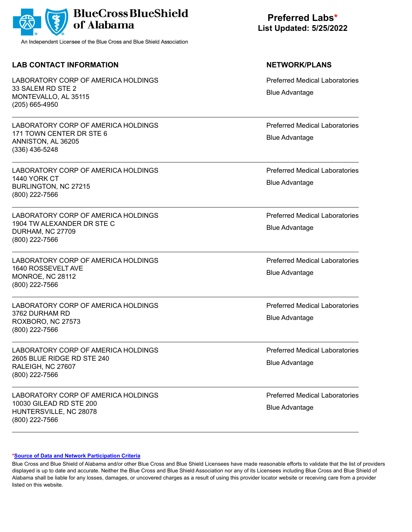

## **LAB CONTACT INFORMATION NETWORK/PLANS**

LABORATORY CORP OF AMERICA HOLDINGS 33 SALEM RD STE 2 MONTEVALLO, AL 35115 (205) 665-4950

LABORATORY CORP OF AMERICA HOLDINGS 171 TOWN CENTER DR STE 6 ANNISTON, AL 36205 (336) 436-5248

LABORATORY CORP OF AMERICA HOLDINGS 1440 YORK CT BURLINGTON, NC 27215 (800) 222-7566

LABORATORY CORP OF AMERICA HOLDINGS 1904 TW ALEXANDER DR STE C DURHAM, NC 27709 (800) 222-7566

LABORATORY CORP OF AMERICA HOLDINGS 1640 ROSSEVELT AVE MONROE, NC 28112 (800) 222-7566

LABORATORY CORP OF AMERICA HOLDINGS 3762 DURHAM RD ROXBORO, NC 27573 (800) 222-7566

LABORATORY CORP OF AMERICA HOLDINGS 2605 BLUE RIDGE RD STE 240 RALEIGH, NC 27607 (800) 222-7566

LABORATORY CORP OF AMERICA HOLDINGS 10030 GILEAD RD STE 200 HUNTERSVILLE, NC 28078 (800) 222-7566

# **Preferred Labs\* List Updated: 5/25/2022**

Preferred Medical Laboratories Blue Advantage

Preferred Medical Laboratories Blue Advantage

Preferred Medical Laboratories Blue Advantage

Preferred Medical Laboratories Blue Advantage

Preferred Medical Laboratories Blue Advantage

Preferred Medical Laboratories Blue Advantage

Preferred Medical Laboratories Blue Advantage

Preferred Medical Laboratories Blue Advantage

### **[\\*Source of Data and Network Participation Criteria](https://www.bcbsal.org/pdfs/DataSources.pdf)**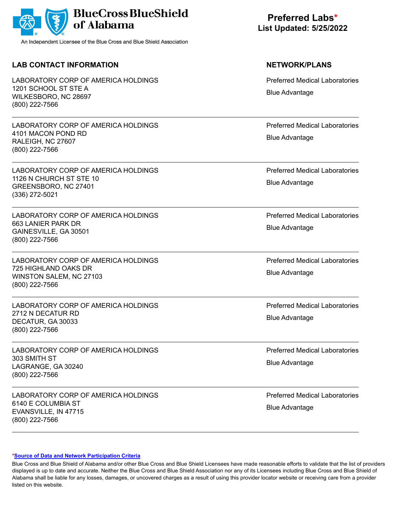

## **LAB CONTACT INFORMATION NETWORK/PLANS**

LABORATORY CORP OF AMERICA HOLDINGS 1201 SCHOOL ST STE A WILKESBORO, NC 28697 (800) 222-7566

LABORATORY CORP OF AMERICA HOLDINGS 4101 MACON POND RD RALEIGH, NC 27607 (800) 222-7566

LABORATORY CORP OF AMERICA HOLDINGS 1126 N CHURCH ST STE 10 GREENSBORO, NC 27401 (336) 272-5021

LABORATORY CORP OF AMERICA HOLDINGS 663 LANIER PARK DR GAINESVILLE, GA 30501 (800) 222-7566

LABORATORY CORP OF AMERICA HOLDINGS 725 HIGHLAND OAKS DR WINSTON SALEM, NC 27103 (800) 222-7566

LABORATORY CORP OF AMERICA HOLDINGS 2712 N DECATUR RD DECATUR, GA 30033 (800) 222-7566

LABORATORY CORP OF AMERICA HOLDINGS 303 SMITH ST LAGRANGE, GA 30240 (800) 222-7566

LABORATORY CORP OF AMERICA HOLDINGS 6140 E COLUMBIA ST EVANSVILLE, IN 47715 (800) 222-7566

# **Preferred Labs\* List Updated: 5/25/2022**

Preferred Medical Laboratories Blue Advantage

Preferred Medical Laboratories Blue Advantage

Preferred Medical Laboratories Blue Advantage

Preferred Medical Laboratories Blue Advantage

Preferred Medical Laboratories Blue Advantage

Preferred Medical Laboratories Blue Advantage

Preferred Medical Laboratories Blue Advantage

Preferred Medical Laboratories Blue Advantage

### **[\\*Source of Data and Network Participation Criteria](https://www.bcbsal.org/pdfs/DataSources.pdf)**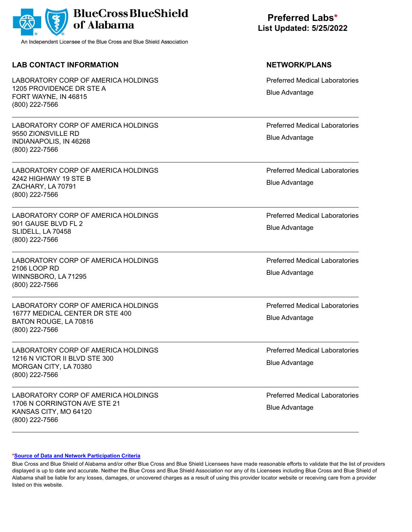

## **LAB CONTACT INFORMATION NETWORK/PLANS**

LABORATORY CORP OF AMERICA HOLDINGS 1205 PROVIDENCE DR STE A FORT WAYNE, IN 46815 (800) 222-7566

LABORATORY CORP OF AMERICA HOLDINGS 9550 ZIONSVILLE RD INDIANAPOLIS, IN 46268 (800) 222-7566

LABORATORY CORP OF AMERICA HOLDINGS 4242 HIGHWAY 19 STE B ZACHARY, LA 70791 (800) 222-7566

LABORATORY CORP OF AMERICA HOLDINGS 901 GAUSE BLVD FL 2 SLIDELL, LA 70458 (800) 222-7566

LABORATORY CORP OF AMERICA HOLDINGS 2106 LOOP RD WINNSBORO, LA 71295 (800) 222-7566

LABORATORY CORP OF AMERICA HOLDINGS 16777 MEDICAL CENTER DR STE 400 BATON ROUGE, LA 70816 (800) 222-7566

LABORATORY CORP OF AMERICA HOLDINGS 1216 N VICTOR II BLVD STE 300 MORGAN CITY, LA 70380 (800) 222-7566

LABORATORY CORP OF AMERICA HOLDINGS 1706 N CORRINGTON AVE STE 21 KANSAS CITY, MO 64120 (800) 222-7566

# **Preferred Labs\* List Updated: 5/25/2022**

Preferred Medical Laboratories Blue Advantage

Preferred Medical Laboratories Blue Advantage

Preferred Medical Laboratories Blue Advantage

Preferred Medical Laboratories Blue Advantage

Preferred Medical Laboratories Blue Advantage

Preferred Medical Laboratories Blue Advantage

Preferred Medical Laboratories Blue Advantage

Preferred Medical Laboratories Blue Advantage

### **[\\*Source of Data and Network Participation Criteria](https://www.bcbsal.org/pdfs/DataSources.pdf)**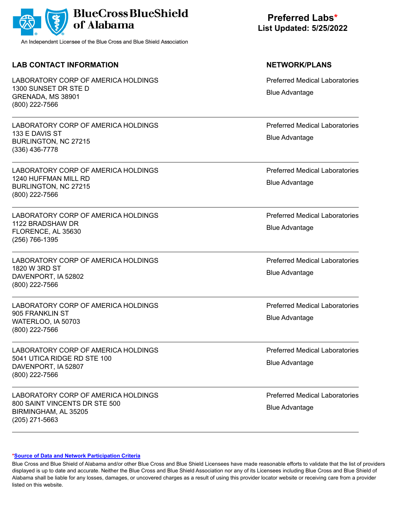

## **LAB CONTACT INFORMATION NETWORK/PLANS**

LABORATORY CORP OF AMERICA HOLDINGS 1300 SUNSET DR STE D GRENADA, MS 38901 (800) 222-7566

LABORATORY CORP OF AMERICA HOLDINGS 133 E DAVIS ST BURLINGTON, NC 27215 (336) 436-7778

LABORATORY CORP OF AMERICA HOLDINGS 1240 HUFFMAN MILL RD BURLINGTON, NC 27215 (800) 222-7566

LABORATORY CORP OF AMERICA HOLDINGS 1122 BRADSHAW DR FLORENCE, AL 35630 (256) 766-1395

LABORATORY CORP OF AMERICA HOLDINGS 1820 W 3RD ST DAVENPORT, IA 52802 (800) 222-7566

LABORATORY CORP OF AMERICA HOLDINGS 905 FRANKLIN ST WATERLOO, IA 50703 (800) 222-7566

LABORATORY CORP OF AMERICA HOLDINGS 5041 UTICA RIDGE RD STE 100 DAVENPORT, IA 52807 (800) 222-7566

LABORATORY CORP OF AMERICA HOLDINGS 800 SAINT VINCENTS DR STE 500 BIRMINGHAM, AL 35205 (205) 271-5663

# **Preferred Labs\* List Updated: 5/25/2022**

Preferred Medical Laboratories Blue Advantage

Preferred Medical Laboratories Blue Advantage

Preferred Medical Laboratories Blue Advantage

Preferred Medical Laboratories Blue Advantage

Preferred Medical Laboratories Blue Advantage

Preferred Medical Laboratories Blue Advantage

Preferred Medical Laboratories Blue Advantage

Preferred Medical Laboratories Blue Advantage

### **[\\*Source of Data and Network Participation Criteria](https://www.bcbsal.org/pdfs/DataSources.pdf)**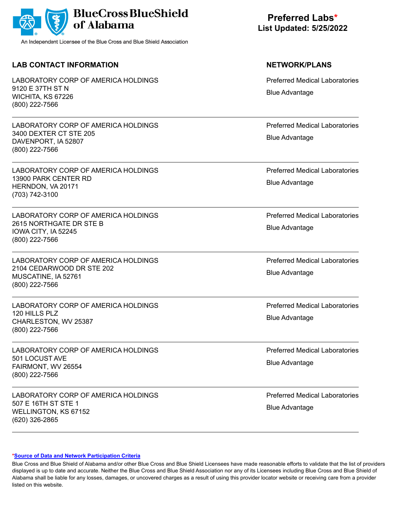

## **LAB CONTACT INFORMATION NETWORK/PLANS**

LABORATORY CORP OF AMERICA HOLDINGS 9120 E 37TH ST N WICHITA, KS 67226 (800) 222-7566

LABORATORY CORP OF AMERICA HOLDINGS 3400 DEXTER CT STE 205 DAVENPORT, IA 52807 (800) 222-7566

LABORATORY CORP OF AMERICA HOLDINGS 13900 PARK CENTER RD HERNDON, VA 20171 (703) 742-3100

LABORATORY CORP OF AMERICA HOLDINGS 2615 NORTHGATE DR STE B IOWA CITY, IA 52245 (800) 222-7566

LABORATORY CORP OF AMERICA HOLDINGS 2104 CEDARWOOD DR STE 202 MUSCATINE, IA 52761 (800) 222-7566

LABORATORY CORP OF AMERICA HOLDINGS 120 HILLS PLZ CHARLESTON, WV 25387 (800) 222-7566

LABORATORY CORP OF AMERICA HOLDINGS 501 LOCUST AVE FAIRMONT, WV 26554 (800) 222-7566

LABORATORY CORP OF AMERICA HOLDINGS 507 E 16TH ST STE 1 WELLINGTON, KS 67152 (620) 326-2865

# **Preferred Labs\* List Updated: 5/25/2022**

Preferred Medical Laboratories Blue Advantage

Preferred Medical Laboratories Blue Advantage

Preferred Medical Laboratories Blue Advantage

Preferred Medical Laboratories Blue Advantage

Preferred Medical Laboratories Blue Advantage

Preferred Medical Laboratories Blue Advantage

Preferred Medical Laboratories Blue Advantage

Preferred Medical Laboratories Blue Advantage

### **[\\*Source of Data and Network Participation Criteria](https://www.bcbsal.org/pdfs/DataSources.pdf)**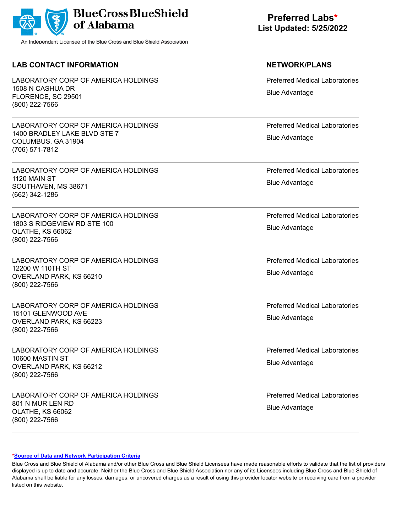

## **LAB CONTACT INFORMATION NETWORK/PLANS**

LABORATORY CORP OF AMERICA HOLDINGS 1508 N CASHUA DR FLORENCE, SC 29501 (800) 222-7566

LABORATORY CORP OF AMERICA HOLDINGS 1400 BRADLEY LAKE BLVD STE 7 COLUMBUS, GA 31904 (706) 571-7812

LABORATORY CORP OF AMERICA HOLDINGS 1120 MAIN ST SOUTHAVEN, MS 38671 (662) 342-1286

LABORATORY CORP OF AMERICA HOLDINGS 1803 S RIDGEVIEW RD STE 100 OLATHE, KS 66062 (800) 222-7566

LABORATORY CORP OF AMERICA HOLDINGS 12200 W 110TH ST OVERLAND PARK, KS 66210 (800) 222-7566

LABORATORY CORP OF AMERICA HOLDINGS 15101 GLENWOOD AVE OVERLAND PARK, KS 66223 (800) 222-7566

LABORATORY CORP OF AMERICA HOLDINGS 10600 MASTIN ST OVERLAND PARK, KS 66212 (800) 222-7566

LABORATORY CORP OF AMERICA HOLDINGS 801 N MUR LEN RD OLATHE, KS 66062 (800) 222-7566

**Preferred Labs\* List Updated: 5/25/2022**

Preferred Medical Laboratories Blue Advantage

Preferred Medical Laboratories Blue Advantage

Preferred Medical Laboratories Blue Advantage

Preferred Medical Laboratories Blue Advantage

Preferred Medical Laboratories Blue Advantage

Preferred Medical Laboratories Blue Advantage

Preferred Medical Laboratories Blue Advantage

Preferred Medical Laboratories Blue Advantage

### **[\\*Source of Data and Network Participation Criteria](https://www.bcbsal.org/pdfs/DataSources.pdf)**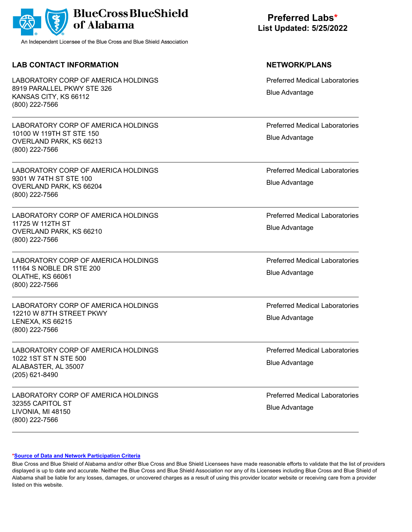

## **LAB CONTACT INFORMATION NETWORK/PLANS**

LABORATORY CORP OF AMERICA HOLDINGS 8919 PARALLEL PKWY STE 326 KANSAS CITY, KS 66112 (800) 222-7566

LABORATORY CORP OF AMERICA HOLDINGS 10100 W 119TH ST STE 150 OVERLAND PARK, KS 66213 (800) 222-7566

LABORATORY CORP OF AMERICA HOLDINGS 9301 W 74TH ST STE 100 OVERLAND PARK, KS 66204 (800) 222-7566

LABORATORY CORP OF AMERICA HOLDINGS 11725 W 112TH ST OVERLAND PARK, KS 66210 (800) 222-7566

LABORATORY CORP OF AMERICA HOLDINGS 11164 S NOBLE DR STE 200 OLATHE, KS 66061 (800) 222-7566

LABORATORY CORP OF AMERICA HOLDINGS 12210 W 87TH STREET PKWY LENEXA, KS 66215 (800) 222-7566

LABORATORY CORP OF AMERICA HOLDINGS 1022 1ST ST N STE 500 ALABASTER, AL 35007 (205) 621-8490

LABORATORY CORP OF AMERICA HOLDINGS 32355 CAPITOL ST LIVONIA, MI 48150 (800) 222-7566

**Preferred Labs\* List Updated: 5/25/2022**

Preferred Medical Laboratories Blue Advantage

Preferred Medical Laboratories Blue Advantage

Preferred Medical Laboratories Blue Advantage

Preferred Medical Laboratories Blue Advantage

Preferred Medical Laboratories Blue Advantage

Preferred Medical Laboratories Blue Advantage

Preferred Medical Laboratories Blue Advantage

Preferred Medical Laboratories Blue Advantage

### **[\\*Source of Data and Network Participation Criteria](https://www.bcbsal.org/pdfs/DataSources.pdf)**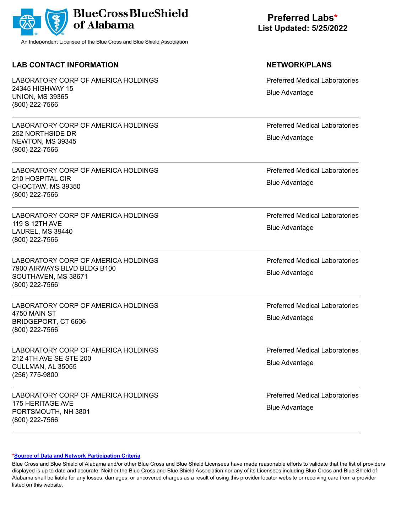

## **LAB CONTACT INFORMATION NETWORK/PLANS**

LABORATORY CORP OF AMERICA HOLDINGS 24345 HIGHWAY 15 UNION, MS 39365 (800) 222-7566

LABORATORY CORP OF AMERICA HOLDINGS 252 NORTHSIDE DR NEWTON, MS 39345 (800) 222-7566

LABORATORY CORP OF AMERICA HOLDINGS 210 HOSPITAL CIR CHOCTAW, MS 39350 (800) 222-7566

LABORATORY CORP OF AMERICA HOLDINGS 119 S 12TH AVE LAUREL, MS 39440 (800) 222-7566

LABORATORY CORP OF AMERICA HOLDINGS 7900 AIRWAYS BLVD BLDG B100 SOUTHAVEN, MS 38671 (800) 222-7566

LABORATORY CORP OF AMERICA HOLDINGS 4750 MAIN ST BRIDGEPORT, CT 6606 (800) 222-7566

LABORATORY CORP OF AMERICA HOLDINGS 212 4TH AVE SE STE 200 CULLMAN, AL 35055 (256) 775-9800

LABORATORY CORP OF AMERICA HOLDINGS 175 HERITAGE AVE PORTSMOUTH, NH 3801 (800) 222-7566

# **Preferred Labs\* List Updated: 5/25/2022**

Preferred Medical Laboratories Blue Advantage

Preferred Medical Laboratories Blue Advantage

Preferred Medical Laboratories Blue Advantage

Preferred Medical Laboratories Blue Advantage

Preferred Medical Laboratories Blue Advantage

Preferred Medical Laboratories Blue Advantage

Preferred Medical Laboratories Blue Advantage

Preferred Medical Laboratories Blue Advantage

### **[\\*Source of Data and Network Participation Criteria](https://www.bcbsal.org/pdfs/DataSources.pdf)**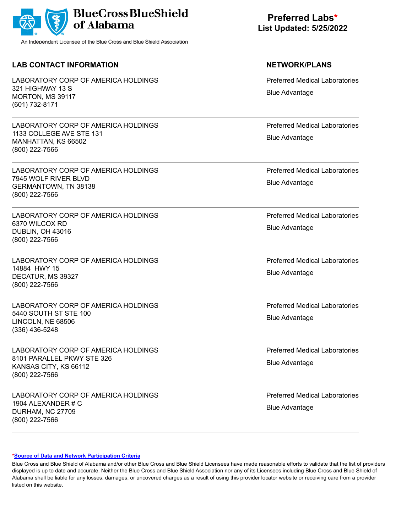

## **LAB CONTACT INFORMATION NETWORK/PLANS**

LABORATORY CORP OF AMERICA HOLDINGS 321 HIGHWAY 13 S MORTON, MS 39117 (601) 732-8171

LABORATORY CORP OF AMERICA HOLDINGS 1133 COLLEGE AVE STE 131 MANHATTAN, KS 66502 (800) 222-7566

LABORATORY CORP OF AMERICA HOLDINGS 7945 WOLF RIVER BLVD GERMANTOWN, TN 38138 (800) 222-7566

LABORATORY CORP OF AMERICA HOLDINGS 6370 WILCOX RD DUBLIN, OH 43016 (800) 222-7566

LABORATORY CORP OF AMERICA HOLDINGS 14884 HWY 15 DECATUR, MS 39327 (800) 222-7566

LABORATORY CORP OF AMERICA HOLDINGS 5440 SOUTH ST STE 100 LINCOLN, NE 68506 (336) 436-5248

LABORATORY CORP OF AMERICA HOLDINGS 8101 PARALLEL PKWY STE 326 KANSAS CITY, KS 66112 (800) 222-7566

LABORATORY CORP OF AMERICA HOLDINGS 1904 ALEXANDER # C DURHAM, NC 27709 (800) 222-7566

**Preferred Labs\* List Updated: 5/25/2022**

Preferred Medical Laboratories Blue Advantage

Preferred Medical Laboratories Blue Advantage

Preferred Medical Laboratories Blue Advantage

Preferred Medical Laboratories Blue Advantage

Preferred Medical Laboratories Blue Advantage

Preferred Medical Laboratories Blue Advantage

Preferred Medical Laboratories Blue Advantage

Preferred Medical Laboratories Blue Advantage

### **[\\*Source of Data and Network Participation Criteria](https://www.bcbsal.org/pdfs/DataSources.pdf)**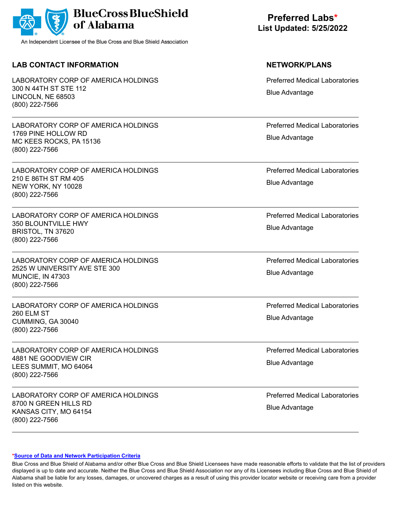

## **LAB CONTACT INFORMATION NETWORK/PLANS**

LABORATORY CORP OF AMERICA HOLDINGS 300 N 44TH ST STE 112 LINCOLN, NE 68503 (800) 222-7566

LABORATORY CORP OF AMERICA HOLDINGS 1769 PINE HOLLOW RD MC KEES ROCKS, PA 15136 (800) 222-7566

LABORATORY CORP OF AMERICA HOLDINGS 210 E 86TH ST RM 405 NEW YORK, NY 10028 (800) 222-7566

LABORATORY CORP OF AMERICA HOLDINGS 350 BLOUNTVILLE HWY BRISTOL, TN 37620 (800) 222-7566

LABORATORY CORP OF AMERICA HOLDINGS 2525 W UNIVERSITY AVE STE 300 MUNCIE, IN 47303 (800) 222-7566

LABORATORY CORP OF AMERICA HOLDINGS 260 ELM ST CUMMING, GA 30040 (800) 222-7566

LABORATORY CORP OF AMERICA HOLDINGS 4881 NE GOODVIEW CIR LEES SUMMIT, MO 64064 (800) 222-7566

LABORATORY CORP OF AMERICA HOLDINGS 8700 N GREEN HILLS RD KANSAS CITY, MO 64154 (800) 222-7566

# **Preferred Labs\* List Updated: 5/25/2022**

Preferred Medical Laboratories Blue Advantage

Preferred Medical Laboratories Blue Advantage

Preferred Medical Laboratories Blue Advantage

Preferred Medical Laboratories Blue Advantage

Preferred Medical Laboratories Blue Advantage

Preferred Medical Laboratories Blue Advantage

Preferred Medical Laboratories Blue Advantage

Preferred Medical Laboratories Blue Advantage

### **[\\*Source of Data and Network Participation Criteria](https://www.bcbsal.org/pdfs/DataSources.pdf)**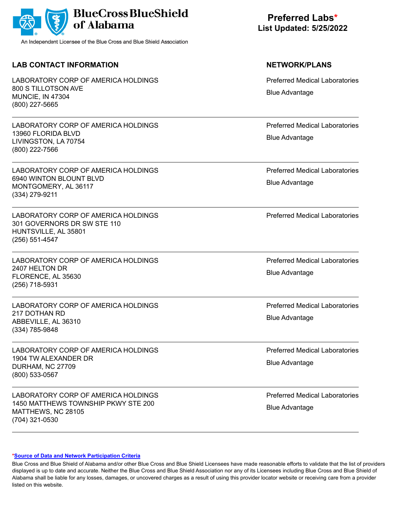|  | BlueCross BlueShield |
|--|----------------------|
|--|----------------------|

## **LAB CONTACT INFORMATION NETWORK/PLANS**

LABORATORY CORP OF AMERICA HOLDINGS 800 S TILLOTSON AVE MUNCIE, IN 47304 (800) 227-5665

LABORATORY CORP OF AMERICA HOLDINGS 13960 FLORIDA BLVD LIVINGSTON, LA 70754 (800) 222-7566

LABORATORY CORP OF AMERICA HOLDINGS 6940 WINTON BLOUNT BLVD MONTGOMERY, AL 36117 (334) 279-9211

LABORATORY CORP OF AMERICA HOLDINGS 301 GOVERNORS DR SW STE 110 HUNTSVILLE, AL 35801 (256) 551-4547

LABORATORY CORP OF AMERICA HOLDINGS 2407 HELTON DR FLORENCE, AL 35630 (256) 718-5931

LABORATORY CORP OF AMERICA HOLDINGS 217 DOTHAN RD ABBEVILLE, AL 36310 (334) 785-9848

LABORATORY CORP OF AMERICA HOLDINGS 1904 TW ALEXANDER DR DURHAM, NC 27709 (800) 533-0567

LABORATORY CORP OF AMERICA HOLDINGS 1450 MATTHEWS TOWNSHIP PKWY STE 200 MATTHEWS, NC 28105 (704) 321-0530

# **Preferred Labs\* List Updated: 5/25/2022**

Preferred Medical Laboratories Blue Advantage

Preferred Medical Laboratories Blue Advantage

Preferred Medical Laboratories Blue Advantage

Preferred Medical Laboratories

Preferred Medical Laboratories Blue Advantage

Preferred Medical Laboratories Blue Advantage

Preferred Medical Laboratories Blue Advantage

Preferred Medical Laboratories Blue Advantage

### **[\\*Source of Data and Network Participation Criteria](https://www.bcbsal.org/pdfs/DataSources.pdf)**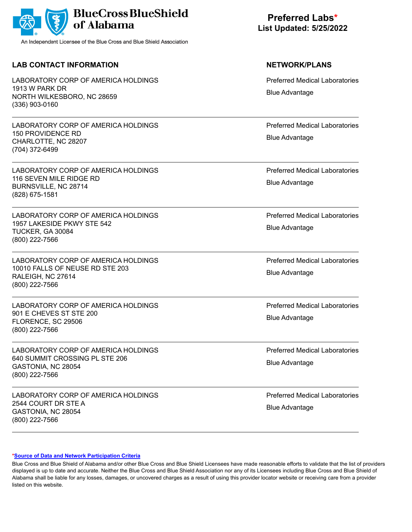|  | BlueCross BlueShield |
|--|----------------------|
|--|----------------------|

## **LAB CONTACT INFORMATION NETWORK/PLANS**

LABORATORY CORP OF AMERICA HOLDINGS 1913 W PARK DR NORTH WILKESBORO, NC 28659 (336) 903-0160

LABORATORY CORP OF AMERICA HOLDINGS 150 PROVIDENCE RD CHARLOTTE, NC 28207 (704) 372-6499

LABORATORY CORP OF AMERICA HOLDINGS 116 SEVEN MILE RIDGE RD BURNSVILLE, NC 28714 (828) 675-1581

LABORATORY CORP OF AMERICA HOLDINGS 1957 LAKESIDE PKWY STE 542 TUCKER, GA 30084 (800) 222-7566

LABORATORY CORP OF AMERICA HOLDINGS 10010 FALLS OF NEUSE RD STE 203 RALEIGH, NC 27614 (800) 222-7566

LABORATORY CORP OF AMERICA HOLDINGS 901 E CHEVES ST STE 200 FLORENCE, SC 29506 (800) 222-7566

LABORATORY CORP OF AMERICA HOLDINGS 640 SUMMIT CROSSING PL STE 206 GASTONIA, NC 28054 (800) 222-7566

LABORATORY CORP OF AMERICA HOLDINGS 2544 COURT DR STE A GASTONIA, NC 28054 (800) 222-7566

**Preferred Labs\* List Updated: 5/25/2022**

Preferred Medical Laboratories Blue Advantage

Preferred Medical Laboratories Blue Advantage

Preferred Medical Laboratories Blue Advantage

Preferred Medical Laboratories Blue Advantage

Preferred Medical Laboratories Blue Advantage

Preferred Medical Laboratories Blue Advantage

Preferred Medical Laboratories Blue Advantage

Preferred Medical Laboratories Blue Advantage

### **[\\*Source of Data and Network Participation Criteria](https://www.bcbsal.org/pdfs/DataSources.pdf)**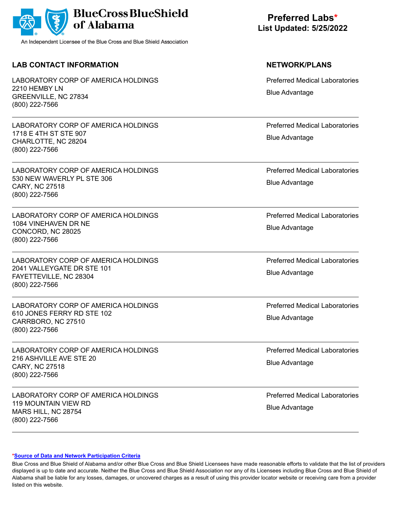

## **LAB CONTACT INFORMATION NETWORK/PLANS**

LABORATORY CORP OF AMERICA HOLDINGS 2210 HEMBY LN GREENVILLE, NC 27834 (800) 222-7566

LABORATORY CORP OF AMERICA HOLDINGS 1718 E 4TH ST STE 907 CHARLOTTE, NC 28204 (800) 222-7566

LABORATORY CORP OF AMERICA HOLDINGS 530 NEW WAVERLY PL STE 306 CARY, NC 27518 (800) 222-7566

LABORATORY CORP OF AMERICA HOLDINGS 1084 VINEHAVEN DR NE CONCORD, NC 28025 (800) 222-7566

LABORATORY CORP OF AMERICA HOLDINGS 2041 VALLEYGATE DR STE 101 FAYETTEVILLE, NC 28304 (800) 222-7566

LABORATORY CORP OF AMERICA HOLDINGS 610 JONES FERRY RD STE 102 CARRBORO, NC 27510 (800) 222-7566

LABORATORY CORP OF AMERICA HOLDINGS 216 ASHVILLE AVE STE 20 CARY, NC 27518 (800) 222-7566

LABORATORY CORP OF AMERICA HOLDINGS 119 MOUNTAIN VIEW RD MARS HILL, NC 28754 (800) 222-7566

# **Preferred Labs\* List Updated: 5/25/2022**

Preferred Medical Laboratories Blue Advantage

Preferred Medical Laboratories Blue Advantage

Preferred Medical Laboratories Blue Advantage

Preferred Medical Laboratories Blue Advantage

Preferred Medical Laboratories Blue Advantage

Preferred Medical Laboratories Blue Advantage

Preferred Medical Laboratories Blue Advantage

Preferred Medical Laboratories Blue Advantage

### **[\\*Source of Data and Network Participation Criteria](https://www.bcbsal.org/pdfs/DataSources.pdf)**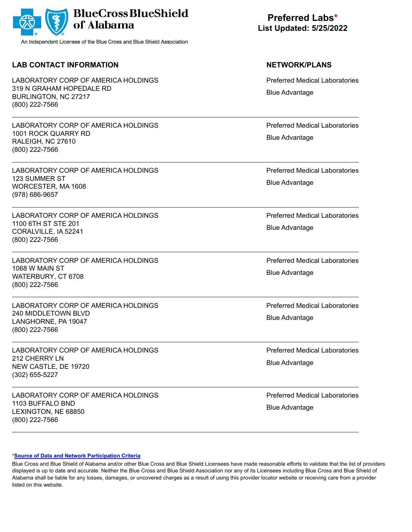

## **LAB CONTACT INFORMATION NETWORK/PLANS**

LABORATORY CORP OF AMERICA HOLDINGS 319 N GRAHAM HOPEDALE RD BURLINGTON, NC 27217 (800) 222-7566

LABORATORY CORP OF AMERICA HOLDINGS 1001 ROCK QUARRY RD RALEIGH, NC 27610 (800) 222-7566

LABORATORY CORP OF AMERICA HOLDINGS 123 SUMMER ST WORCESTER, MA 1608 (978) 686-9657

LABORATORY CORP OF AMERICA HOLDINGS 1100 6TH ST STE 201 CORALVILLE, IA 52241 (800) 222-7566

LABORATORY CORP OF AMERICA HOLDINGS 1068 W MAIN ST WATERBURY, CT 6708 (800) 222-7566

LABORATORY CORP OF AMERICA HOLDINGS 240 MIDDLETOWN BLVD LANGHORNE, PA 19047 (800) 222-7566

LABORATORY CORP OF AMERICA HOLDINGS 212 CHERRY LN NEW CASTLE, DE 19720 (302) 655-5227

LABORATORY CORP OF AMERICA HOLDINGS 1103 BUFFALO BND LEXINGTON, NE 68850 (800) 222-7566

# **Preferred Labs\* List Updated: 5/25/2022**

Preferred Medical Laboratories Blue Advantage

Preferred Medical Laboratories Blue Advantage

Preferred Medical Laboratories Blue Advantage

Preferred Medical Laboratories Blue Advantage

Preferred Medical Laboratories Blue Advantage

Preferred Medical Laboratories Blue Advantage

Preferred Medical Laboratories Blue Advantage

Preferred Medical Laboratories Blue Advantage

### **[\\*Source of Data and Network Participation Criteria](https://www.bcbsal.org/pdfs/DataSources.pdf)**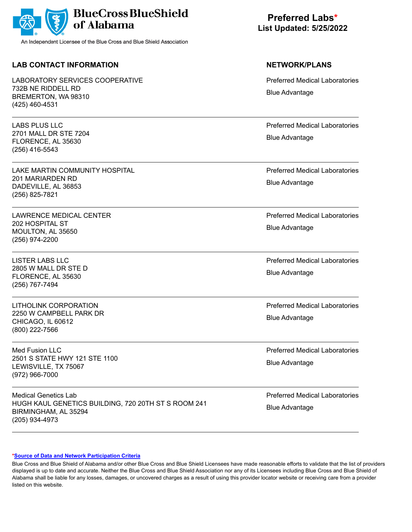

## **LAB CONTACT INFORMATION NETWORK/PLANS**

LABORATORY SERVICES COOPERATIVE 732B NE RIDDELL RD BREMERTON, WA 98310 (425) 460-4531

LABS PLUS LLC 2701 MALL DR STE 7204 FLORENCE, AL 35630 (256) 416-5543

LAKE MARTIN COMMUNITY HOSPITAL 201 MARIARDEN RD DADEVILLE, AL 36853 (256) 825-7821

LAWRENCE MEDICAL CENTER 202 HOSPITAL ST MOULTON, AL 35650 (256) 974-2200

LISTER LABS LLC 2805 W MALL DR STE D FLORENCE, AL 35630 (256) 767-7494

LITHOLINK CORPORATION 2250 W CAMPBELL PARK DR CHICAGO, IL 60612 (800) 222-7566

Med Fusion LLC 2501 S STATE HWY 121 STE 1100 LEWISVILLE, TX 75067 (972) 966-7000

Medical Genetics Lab HUGH KAUL GENETICS BUILDING, 720 20TH ST S ROOM 241 BIRMINGHAM, AL 35294 (205) 934-4973

**Preferred Labs\* List Updated: 5/25/2022**

Preferred Medical Laboratories Blue Advantage

Preferred Medical Laboratories Blue Advantage

Preferred Medical Laboratories Blue Advantage

Preferred Medical Laboratories Blue Advantage

Preferred Medical Laboratories Blue Advantage

Preferred Medical Laboratories Blue Advantage

Preferred Medical Laboratories Blue Advantage

Preferred Medical Laboratories Blue Advantage

### **[\\*Source of Data and Network Participation Criteria](https://www.bcbsal.org/pdfs/DataSources.pdf)**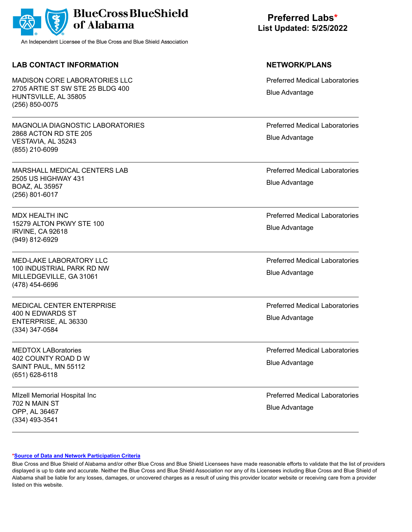|  | BlueCross BlueShield |
|--|----------------------|
|--|----------------------|

## **LAB CONTACT INFORMATION NETWORK/PLANS**

MADISON CORE LABORATORIES LLC 2705 ARTIE ST SW STE 25 BLDG 400 HUNTSVILLE, AL 35805 (256) 850-0075

MAGNOLIA DIAGNOSTIC LABORATORIES 2868 ACTON RD STE 205 VESTAVIA, AL 35243 (855) 210-6099

MARSHALL MEDICAL CENTERS LAB 2505 US HIGHWAY 431 BOAZ, AL 35957 (256) 801-6017

MDX HEALTH INC 15279 ALTON PKWY STE 100 IRVINE, CA 92618 (949) 812-6929

MED-LAKE LABORATORY LLC 100 INDUSTRIAL PARK RD NW MILLEDGEVILLE, GA 31061 (478) 454-6696

MEDICAL CENTER ENTERPRISE 400 N EDWARDS ST ENTERPRISE, AL 36330 (334) 347-0584

MEDTOX LABoratories 402 COUNTY ROAD D W SAINT PAUL, MN 55112 (651) 628-6118

MIzell Memorial Hospital Inc 702 N MAIN ST OPP, AL 36467 (334) 493-3541

**Preferred Labs\* List Updated: 5/25/2022**

Preferred Medical Laboratories Blue Advantage

Preferred Medical Laboratories Blue Advantage

Preferred Medical Laboratories Blue Advantage

Preferred Medical Laboratories Blue Advantage

Preferred Medical Laboratories Blue Advantage

Preferred Medical Laboratories Blue Advantage

Preferred Medical Laboratories Blue Advantage

Preferred Medical Laboratories Blue Advantage

### **[\\*Source of Data and Network Participation Criteria](https://www.bcbsal.org/pdfs/DataSources.pdf)**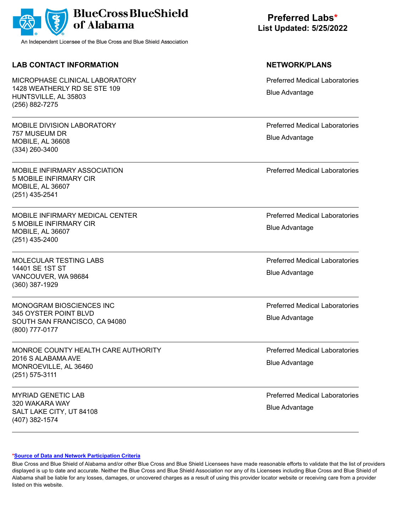

## **LAB CONTACT INFORMATION NETWORK/PLANS**

MICROPHASE CLINICAL LABORATORY 1428 WEATHERLY RD SE STE 109 HUNTSVILLE, AL 35803 (256) 882-7275

MOBILE DIVISION LABORATORY 757 MUSEUM DR MOBILE, AL 36608 (334) 260-3400

MOBILE INFIRMARY ASSOCIATION 5 MOBILE INFIRMARY CIR MOBILE, AL 36607 (251) 435-2541

MOBILE INFIRMARY MEDICAL CENTER 5 MOBILE INFIRMARY CIR MOBILE, AL 36607 (251) 435-2400

MOLECULAR TESTING LABS 14401 SE 1ST ST VANCOUVER, WA 98684 (360) 387-1929

MONOGRAM BIOSCIENCES INC 345 OYSTER POINT BLVD SOUTH SAN FRANCISCO, CA 94080 (800) 777-0177

MONROE COUNTY HEALTH CARE AUTHORITY 2016 S ALABAMA AVE MONROEVILLE, AL 36460 (251) 575-3111

MYRIAD GENETIC LAB 320 WAKARA WAY SALT LAKE CITY, UT 84108 (407) 382-1574

**Preferred Labs\* List Updated: 5/25/2022**

Preferred Medical Laboratories Blue Advantage

Preferred Medical Laboratories Blue Advantage

Preferred Medical Laboratories

Preferred Medical Laboratories Blue Advantage

Preferred Medical Laboratories Blue Advantage

Preferred Medical Laboratories Blue Advantage

Preferred Medical Laboratories Blue Advantage

Preferred Medical Laboratories Blue Advantage

### **[\\*Source of Data and Network Participation Criteria](https://www.bcbsal.org/pdfs/DataSources.pdf)**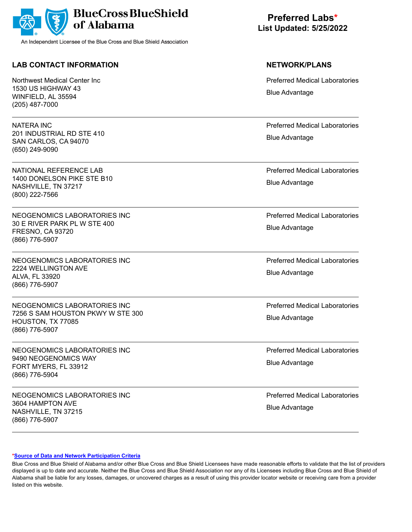

## **LAB CONTACT INFORMATION NETWORK/PLANS**

Northwest Medical Center Inc 1530 US HIGHWAY 43 WINFIELD, AL 35594 (205) 487-7000

NATERA INC 201 INDUSTRIAL RD STE 410 SAN CARLOS, CA 94070 (650) 249-9090

NATIONAL REFERENCE LAB 1400 DONELSON PIKE STE B10 NASHVILLE, TN 37217 (800) 222-7566

NEOGENOMICS LABORATORIES INC 30 E RIVER PARK PL W STE 400 FRESNO, CA 93720 (866) 776-5907

NEOGENOMICS LABORATORIES INC 2224 WELLINGTON AVE ALVA, FL 33920 (866) 776-5907

NEOGENOMICS LABORATORIES INC 7256 S SAM HOUSTON PKWY W STE 300 HOUSTON, TX 77085 (866) 776-5907

NEOGENOMICS LABORATORIES INC 9490 NEOGENOMICS WAY FORT MYERS, FL 33912 (866) 776-5904

NEOGENOMICS LABORATORIES INC 3604 HAMPTON AVE NASHVILLE, TN 37215 (866) 776-5907

**Preferred Labs\* List Updated: 5/25/2022**

Preferred Medical Laboratories Blue Advantage

Preferred Medical Laboratories Blue Advantage

Preferred Medical Laboratories Blue Advantage

Preferred Medical Laboratories Blue Advantage

Preferred Medical Laboratories Blue Advantage

Preferred Medical Laboratories Blue Advantage

Preferred Medical Laboratories Blue Advantage

Preferred Medical Laboratories Blue Advantage

### **[\\*Source of Data and Network Participation Criteria](https://www.bcbsal.org/pdfs/DataSources.pdf)**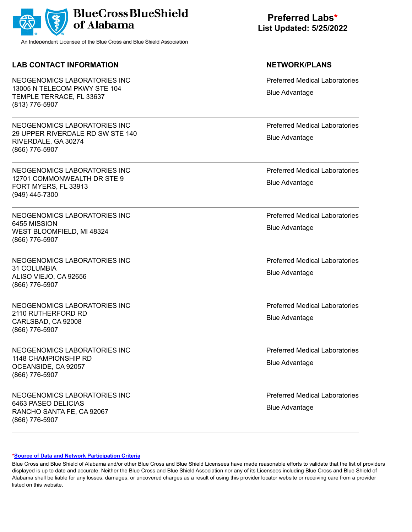

## **LAB CONTACT INFORMATION NETWORK/PLANS**

NEOGENOMICS LABORATORIES INC 13005 N TELECOM PKWY STE 104 TEMPLE TERRACE, FL 33637 (813) 776-5907

NEOGENOMICS LABORATORIES INC 29 UPPER RIVERDALE RD SW STE 140 RIVERDALE, GA 30274 (866) 776-5907

NEOGENOMICS LABORATORIES INC 12701 COMMONWEALTH DR STE 9 FORT MYERS, FL 33913 (949) 445-7300

NEOGENOMICS LABORATORIES INC 6455 MISSION WEST BLOOMFIELD, MI 48324 (866) 776-5907

NEOGENOMICS LABORATORIES INC 31 COLUMBIA ALISO VIEJO, CA 92656 (866) 776-5907

NEOGENOMICS LABORATORIES INC 2110 RUTHERFORD RD CARLSBAD, CA 92008 (866) 776-5907

NEOGENOMICS LABORATORIES INC 1148 CHAMPIONSHIP RD OCEANSIDE, CA 92057 (866) 776-5907

NEOGENOMICS LABORATORIES INC 6463 PASEO DELICIAS RANCHO SANTA FE, CA 92067 (866) 776-5907

**Preferred Labs\* List Updated: 5/25/2022**

Preferred Medical Laboratories Blue Advantage

Preferred Medical Laboratories Blue Advantage

Preferred Medical Laboratories Blue Advantage

Preferred Medical Laboratories Blue Advantage

Preferred Medical Laboratories Blue Advantage

Preferred Medical Laboratories Blue Advantage

Preferred Medical Laboratories Blue Advantage

Preferred Medical Laboratories Blue Advantage

### **[\\*Source of Data and Network Participation Criteria](https://www.bcbsal.org/pdfs/DataSources.pdf)**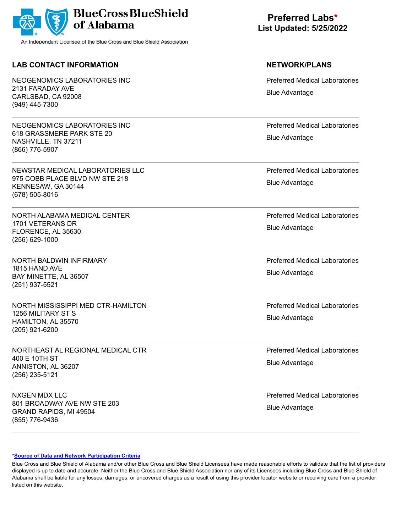

## **LAB CONTACT INFORMATION NETWORK/PLANS**

NEOGENOMICS LABORATORIES INC 2131 FARADAY AVE CARLSBAD, CA 92008 (949) 445-7300

NEOGENOMICS LABORATORIES INC 618 GRASSMERE PARK STE 20 NASHVILLE, TN 37211 (866) 776-5907

NEWSTAR MEDICAL LABORATORIES LLC 975 COBB PLACE BLVD NW STE 218 KENNESAW, GA 30144 (678) 505-8016

NORTH ALABAMA MEDICAL CENTER 1701 VETERANS DR FLORENCE, AL 35630 (256) 629-1000

NORTH BALDWIN INFIRMARY 1815 HAND AVE BAY MINETTE, AL 36507 (251) 937-5521

NORTH MISSISSIPPI MED CTR-HAMILTON 1256 MILITARY ST S HAMILTON, AL 35570 (205) 921-6200

NORTHEAST AL REGIONAL MEDICAL CTR 400 E 10TH ST ANNISTON, AL 36207 (256) 235-5121

NXGEN MDX LLC 801 BROADWAY AVE NW STE 203 GRAND RAPIDS, MI 49504 (855) 776-9436

# **Preferred Labs\* List Updated: 5/25/2022**

Preferred Medical Laboratories Blue Advantage

Preferred Medical Laboratories Blue Advantage

Preferred Medical Laboratories Blue Advantage

Preferred Medical Laboratories Blue Advantage

Preferred Medical Laboratories Blue Advantage

Preferred Medical Laboratories Blue Advantage

Preferred Medical Laboratories Blue Advantage

Preferred Medical Laboratories Blue Advantage

### **[\\*Source of Data and Network Participation Criteria](https://www.bcbsal.org/pdfs/DataSources.pdf)**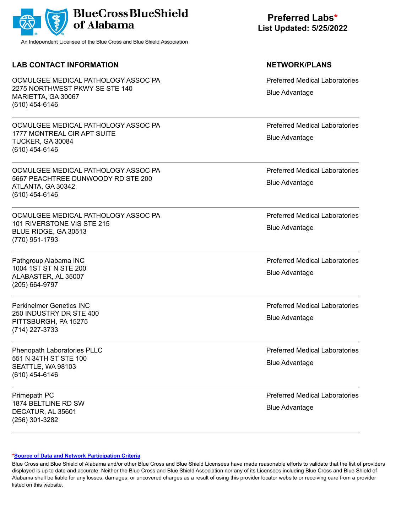|  | BlueCross BlueShield |
|--|----------------------|
|--|----------------------|

## **LAB CONTACT INFORMATION NETWORK/PLANS**

OCMULGEE MEDICAL PATHOLOGY ASSOC PA 2275 NORTHWEST PKWY SE STE 140 MARIETTA, GA 30067 (610) 454-6146

OCMULGEE MEDICAL PATHOLOGY ASSOC PA 1777 MONTREAL CIR APT SUITE TUCKER, GA 30084 (610) 454-6146

OCMULGEE MEDICAL PATHOLOGY ASSOC PA 5667 PEACHTREE DUNWOODY RD STE 200 ATLANTA, GA 30342 (610) 454-6146

OCMULGEE MEDICAL PATHOLOGY ASSOC PA 101 RIVERSTONE VIS STE 215 BLUE RIDGE, GA 30513 (770) 951-1793

Pathgroup Alabama INC 1004 1ST ST N STE 200 ALABASTER, AL 35007 (205) 664-9797

Perkinelmer Genetics INC 250 INDUSTRY DR STE 400 PITTSBURGH, PA 15275 (714) 227-3733

Phenopath Laboratories PLLC 551 N 34TH ST STE 100 SEATTLE, WA 98103 (610) 454-6146

Primepath PC 1874 BELTLINE RD SW DECATUR, AL 35601 (256) 301-3282

**Preferred Labs\* List Updated: 5/25/2022**

Preferred Medical Laboratories Blue Advantage

Preferred Medical Laboratories Blue Advantage

Preferred Medical Laboratories Blue Advantage

Preferred Medical Laboratories Blue Advantage

Preferred Medical Laboratories Blue Advantage

Preferred Medical Laboratories Blue Advantage

Preferred Medical Laboratories Blue Advantage

Preferred Medical Laboratories Blue Advantage

### **[\\*Source of Data and Network Participation Criteria](https://www.bcbsal.org/pdfs/DataSources.pdf)**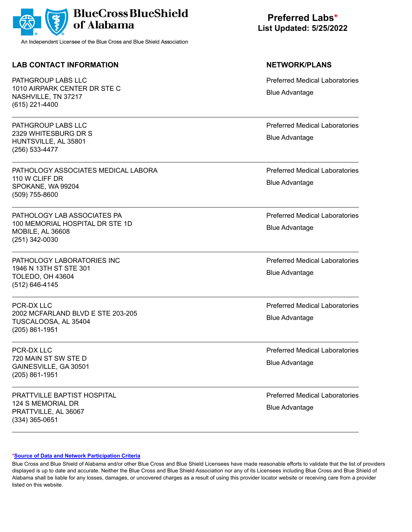

## **LAB CONTACT INFORMATION NETWORK/PLANS**

PATHGROUP LABS LLC 1010 AIRPARK CENTER DR STE C NASHVILLE, TN 37217 (615) 221-4400

PATHGROUP LABS LLC 2329 WHITESBURG DR S HUNTSVILLE, AL 35801 (256) 533-4477

PATHOLOGY ASSOCIATES MEDICAL LABORA 110 W CLIFF DR SPOKANE, WA 99204 (509) 755-8600

PATHOLOGY LAB ASSOCIATES PA 100 MEMORIAL HOSPITAL DR STE 1D MOBILE, AL 36608 (251) 342-0030

PATHOLOGY LABORATORIES INC 1946 N 13TH ST STE 301 TOLEDO, OH 43604 (512) 646-4145

PCR-DX LLC 2002 MCFARLAND BLVD E STE 203-205 TUSCALOOSA, AL 35404 (205) 861-1951

PCR-DX LLC 720 MAIN ST SW STE D GAINESVILLE, GA 30501 (205) 861-1951

PRATTVILLE BAPTIST HOSPITAL 124 S MEMORIAL DR PRATTVILLE, AL 36067 (334) 365-0651

**Preferred Labs\* List Updated: 5/25/2022**

Preferred Medical Laboratories Blue Advantage

Preferred Medical Laboratories Blue Advantage

Preferred Medical Laboratories Blue Advantage

Preferred Medical Laboratories Blue Advantage

Preferred Medical Laboratories Blue Advantage

Preferred Medical Laboratories Blue Advantage

Preferred Medical Laboratories Blue Advantage

Preferred Medical Laboratories Blue Advantage

### **[\\*Source of Data and Network Participation Criteria](https://www.bcbsal.org/pdfs/DataSources.pdf)**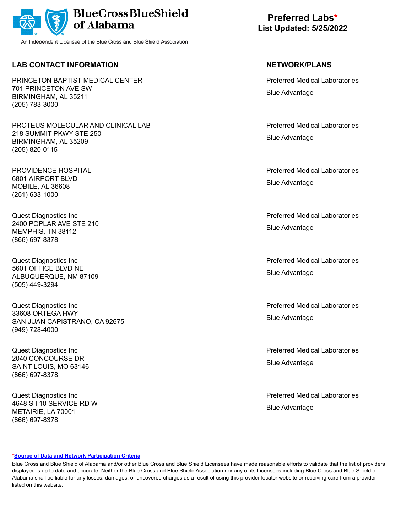

## **LAB CONTACT INFORMATION NETWORK/PLANS**

PRINCETON BAPTIST MEDICAL CENTER 701 PRINCETON AVE SW BIRMINGHAM, AL 35211 (205) 783-3000

PROTEUS MOLECULAR AND CLINICAL LAB 218 SUMMIT PKWY STE 250 BIRMINGHAM, AL 35209 (205) 820-0115

PROVIDENCE HOSPITAL 6801 AIRPORT BLVD MOBILE, AL 36608 (251) 633-1000

Quest Diagnostics Inc 2400 POPLAR AVE STE 210 MEMPHIS, TN 38112 (866) 697-8378

Quest Diagnostics Inc 5601 OFFICE BLVD NE ALBUQUERQUE, NM 87109 (505) 449-3294

Quest Diagnostics Inc 33608 ORTEGA HWY SAN JUAN CAPISTRANO, CA 92675 (949) 728-4000

Quest Diagnostics Inc 2040 CONCOURSE DR SAINT LOUIS, MO 63146 (866) 697-8378

Quest Diagnostics Inc 4648 S I 10 SERVICE RD W METAIRIE, LA 70001 (866) 697-8378

**Preferred Labs\* List Updated: 5/25/2022**

Preferred Medical Laboratories Blue Advantage

Preferred Medical Laboratories Blue Advantage

Preferred Medical Laboratories Blue Advantage

Preferred Medical Laboratories Blue Advantage

Preferred Medical Laboratories Blue Advantage

Preferred Medical Laboratories Blue Advantage

Preferred Medical Laboratories Blue Advantage

Preferred Medical Laboratories Blue Advantage

### **[\\*Source of Data and Network Participation Criteria](https://www.bcbsal.org/pdfs/DataSources.pdf)**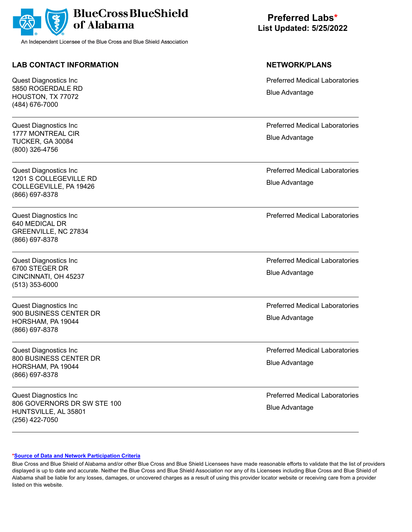

## **LAB CONTACT INFORMATION NETWORK/PLANS**

Quest Diagnostics Inc 5850 ROGERDALE RD HOUSTON, TX 77072 (484) 676-7000

Quest Diagnostics Inc 1777 MONTREAL CIR TUCKER, GA 30084 (800) 326-4756

Quest Diagnostics Inc 1201 S COLLEGEVILLE RD COLLEGEVILLE, PA 19426 (866) 697-8378

Quest Diagnostics Inc 640 MEDICAL DR GREENVILLE, NC 27834 (866) 697-8378

Quest Diagnostics Inc 6700 STEGER DR CINCINNATI, OH 45237 (513) 353-6000

Quest Diagnostics Inc 900 BUSINESS CENTER DR HORSHAM, PA 19044 (866) 697-8378

Quest Diagnostics Inc 800 BUSINESS CENTER DR HORSHAM, PA 19044 (866) 697-8378

Quest Diagnostics Inc 806 GOVERNORS DR SW STE 100 HUNTSVILLE, AL 35801 (256) 422-7050

**Preferred Labs\* List Updated: 5/25/2022**

Preferred Medical Laboratories Blue Advantage

Preferred Medical Laboratories Blue Advantage

Preferred Medical Laboratories Blue Advantage

Preferred Medical Laboratories

Preferred Medical Laboratories Blue Advantage

Preferred Medical Laboratories Blue Advantage

Preferred Medical Laboratories Blue Advantage

Preferred Medical Laboratories Blue Advantage

### **[\\*Source of Data and Network Participation Criteria](https://www.bcbsal.org/pdfs/DataSources.pdf)**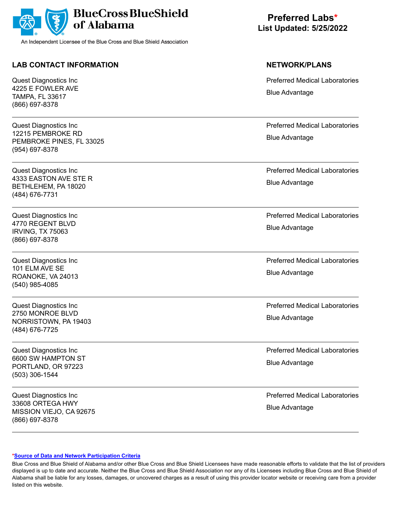

## **LAB CONTACT INFORMATION NETWORK/PLANS**

Quest Diagnostics Inc 4225 E FOWLER AVE TAMPA, FL 33617 (866) 697-8378

Quest Diagnostics Inc 12215 PEMBROKE RD PEMBROKE PINES, FL 33025 (954) 697-8378

Quest Diagnostics Inc 4333 EASTON AVE STE R BETHLEHEM, PA 18020 (484) 676-7731

Quest Diagnostics Inc 4770 REGENT BLVD IRVING, TX 75063 (866) 697-8378

Quest Diagnostics Inc 101 ELM AVE SE ROANOKE, VA 24013 (540) 985-4085

Quest Diagnostics Inc 2750 MONROE BLVD NORRISTOWN, PA 19403 (484) 676-7725

Quest Diagnostics Inc 6600 SW HAMPTON ST PORTLAND, OR 97223 (503) 306-1544

Quest Diagnostics Inc 33608 ORTEGA HWY MISSION VIEJO, CA 92675 (866) 697-8378

**Preferred Labs\* List Updated: 5/25/2022**

Preferred Medical Laboratories Blue Advantage

Preferred Medical Laboratories Blue Advantage

Preferred Medical Laboratories Blue Advantage

Preferred Medical Laboratories Blue Advantage

Preferred Medical Laboratories Blue Advantage

Preferred Medical Laboratories Blue Advantage

Preferred Medical Laboratories Blue Advantage

Preferred Medical Laboratories Blue Advantage

### **[\\*Source of Data and Network Participation Criteria](https://www.bcbsal.org/pdfs/DataSources.pdf)**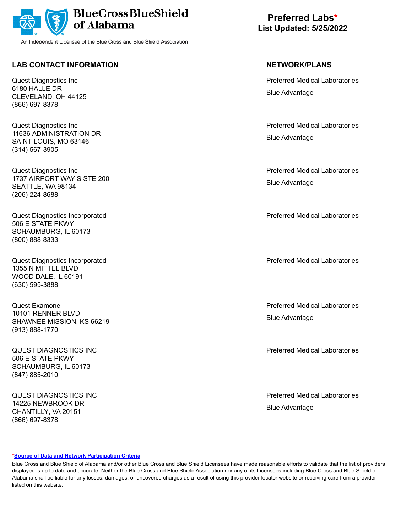

## **LAB CONTACT INFORMATION NETWORK/PLANS**

Quest Diagnostics Inc 6180 HALLE DR CLEVELAND, OH 44125 (866) 697-8378

Quest Diagnostics Inc 11636 ADMINISTRATION DR SAINT LOUIS, MO 63146 (314) 567-3905

Quest Diagnostics Inc 1737 AIRPORT WAY S STE 200 SEATTLE, WA 98134 (206) 224-8688

Quest Diagnostics Incorporated 506 E STATE PKWY SCHAUMBURG, IL 60173 (800) 888-8333

Quest Diagnostics Incorporated 1355 N MITTEL BLVD WOOD DALE, IL 60191 (630) 595-3888

Quest Examone 10101 RENNER BLVD SHAWNEE MISSION, KS 66219 (913) 888-1770

QUEST DIAGNOSTICS INC 506 E STATE PKWY SCHAUMBURG, IL 60173 (847) 885-2010

QUEST DIAGNOSTICS INC 14225 NEWBROOK DR CHANTILLY, VA 20151 (866) 697-8378

**Preferred Labs\* List Updated: 5/25/2022**

Preferred Medical Laboratories Blue Advantage

Preferred Medical Laboratories Blue Advantage

Preferred Medical Laboratories Blue Advantage

Preferred Medical Laboratories

Preferred Medical Laboratories

Preferred Medical Laboratories Blue Advantage

Preferred Medical Laboratories

Preferred Medical Laboratories Blue Advantage

### **[\\*Source of Data and Network Participation Criteria](https://www.bcbsal.org/pdfs/DataSources.pdf)**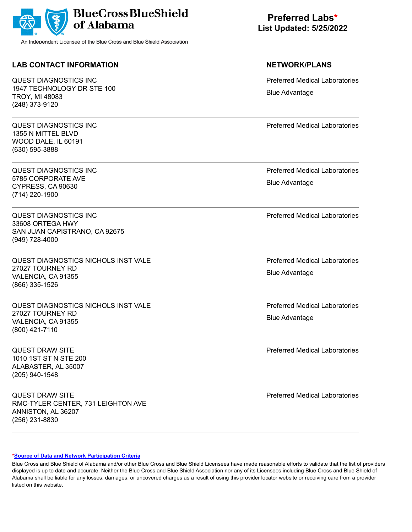

## **LAB CONTACT INFORMATION NETWORK/PLANS**

QUEST DIAGNOSTICS INC 1947 TECHNOLOGY DR STE 100 TROY, MI 48083 (248) 373-9120

QUEST DIAGNOSTICS INC 1355 N MITTEL BLVD WOOD DALE, IL 60191 (630) 595-3888

QUEST DIAGNOSTICS INC 5785 CORPORATE AVE CYPRESS, CA 90630 (714) 220-1900

QUEST DIAGNOSTICS INC 33608 ORTEGA HWY SAN JUAN CAPISTRANO, CA 92675 (949) 728-4000

QUEST DIAGNOSTICS NICHOLS INST VALE 27027 TOURNEY RD VALENCIA, CA 91355 (866) 335-1526

QUEST DIAGNOSTICS NICHOLS INST VALE 27027 TOURNEY RD VALENCIA, CA 91355 (800) 421-7110

QUEST DRAW SITE 1010 1ST ST N STE 200 ALABASTER, AL 35007 (205) 940-1548

QUEST DRAW SITE RMC-TYLER CENTER, 731 LEIGHTON AVE ANNISTON, AL 36207 (256) 231-8830

# **Preferred Labs\* List Updated: 5/25/2022**

Preferred Medical Laboratories Blue Advantage

Preferred Medical Laboratories

Preferred Medical Laboratories Blue Advantage

Preferred Medical Laboratories

Preferred Medical Laboratories Blue Advantage

Preferred Medical Laboratories Blue Advantage

Preferred Medical Laboratories

Preferred Medical Laboratories

### **[\\*Source of Data and Network Participation Criteria](https://www.bcbsal.org/pdfs/DataSources.pdf)**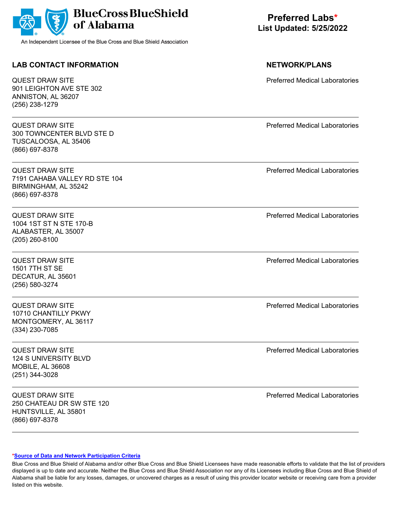| <b>BlueCross BlueShield</b><br>of Alabama<br>An Independent Licensee of the Blue Cross and Blue Shield Association | <b>Preferred Labs*</b><br><b>List Updated: 5/25/2022</b> |
|--------------------------------------------------------------------------------------------------------------------|----------------------------------------------------------|
| <b>LAB CONTACT INFORMATION</b>                                                                                     | <b>NETWORK/PLANS</b>                                     |
| QUEST DRAW SITE<br>901 LEIGHTON AVE STE 302<br>ANNISTON, AL 36207<br>(256) 238-1279                                | <b>Preferred Medical Laboratories</b>                    |
| <b>QUEST DRAW SITE</b><br>300 TOWNCENTER BLVD STE D<br>TUSCALOOSA, AL 35406<br>(866) 697-8378                      | <b>Preferred Medical Laboratories</b>                    |
| <b>QUEST DRAW SITE</b><br>7191 CAHABA VALLEY RD STE 104<br>BIRMINGHAM, AL 35242<br>(866) 697-8378                  | <b>Preferred Medical Laboratories</b>                    |
| <b>QUEST DRAW SITE</b><br>1004 1ST ST N STE 170-B<br>ALABASTER, AL 35007<br>(205) 260-8100                         | <b>Preferred Medical Laboratories</b>                    |
| <b>QUEST DRAW SITE</b><br>1501 7TH ST SE<br>DECATUR, AL 35601<br>(256) 580-3274                                    | <b>Preferred Medical Laboratories</b>                    |
| QUEST DRAW SITE<br>10710 CHANTILLY PKWY<br>MONTGOMERY, AL 36117<br>(334) 230-7085                                  | <b>Preferred Medical Laboratories</b>                    |
| <b>QUEST DRAW SITE</b><br>124 S UNIVERSITY BLVD<br><b>MOBILE, AL 36608</b><br>(251) 344-3028                       | <b>Preferred Medical Laboratories</b>                    |

QUEST DRAW SITE 250 CHATEAU DR SW STE 120 HUNTSVILLE, AL 35801 (866) 697-8378

Preferred Medical Laboratories

### **[\\*Source of Data and Network Participation Criteria](https://www.bcbsal.org/pdfs/DataSources.pdf)**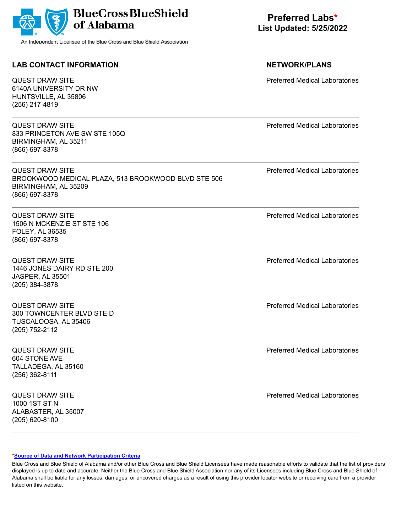| <b>BlueCross BlueShield</b><br>of Alabama<br>An Independent Licensee of the Blue Cross and Blue Shield Association      | <b>Preferred Labs*</b><br><b>List Updated: 5/25/2022</b> |
|-------------------------------------------------------------------------------------------------------------------------|----------------------------------------------------------|
| <b>LAB CONTACT INFORMATION</b>                                                                                          | <b>NETWORK/PLANS</b>                                     |
| <b>QUEST DRAW SITE</b><br>6140A UNIVERSITY DR NW<br>HUNTSVILLE, AL 35806<br>(256) 217-4819                              | <b>Preferred Medical Laboratories</b>                    |
| <b>QUEST DRAW SITE</b><br>833 PRINCETON AVE SW STE 105Q<br>BIRMINGHAM, AL 35211<br>(866) 697-8378                       | <b>Preferred Medical Laboratories</b>                    |
| <b>QUEST DRAW SITE</b><br>BROOKWOOD MEDICAL PLAZA, 513 BROOKWOOD BLVD STE 506<br>BIRMINGHAM, AL 35209<br>(866) 697-8378 | <b>Preferred Medical Laboratories</b>                    |
| <b>QUEST DRAW SITE</b><br>1506 N MCKENZIE ST STE 106<br>FOLEY, AL 36535<br>(866) 697-8378                               | <b>Preferred Medical Laboratories</b>                    |
| <b>QUEST DRAW SITE</b><br>1446 JONES DAIRY RD STE 200<br><b>JASPER, AL 35501</b><br>(205) 384-3878                      | <b>Preferred Medical Laboratories</b>                    |
| <b>QUEST DRAW SITE</b><br>300 TOWNCENTER BLVD STE D<br>TUSCALOOSA, AL 35406<br>(205) 752-2112                           | <b>Preferred Medical Laboratories</b>                    |
| <b>QUEST DRAW SITE</b><br>604 STONE AVE<br>TALLADEGA, AL 35160<br>(256) 362-8111                                        | <b>Preferred Medical Laboratories</b>                    |
| <b>QUEST DRAW SITE</b><br>1000 1ST ST N<br>ALABASTER, AL 35007                                                          | <b>Preferred Medical Laboratories</b>                    |

### **[\\*Source of Data and Network Participation Criteria](https://www.bcbsal.org/pdfs/DataSources.pdf)**

(205) 620-8100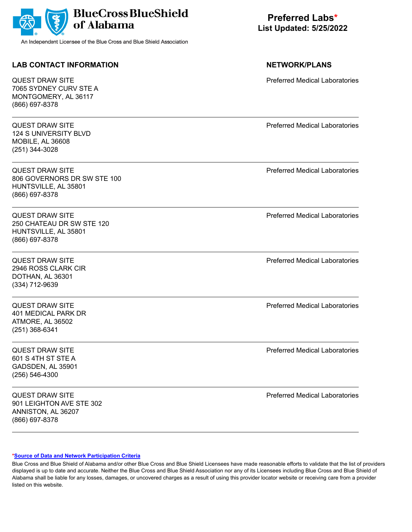| <b>BlueCross BlueShield</b><br>of Alabama<br>An Independent Licensee of the Blue Cross and Blue Shield Association | <b>Preferred Labs*</b><br><b>List Updated: 5/25/2022</b> |
|--------------------------------------------------------------------------------------------------------------------|----------------------------------------------------------|
| <b>LAB CONTACT INFORMATION</b>                                                                                     | <b>NETWORK/PLANS</b>                                     |
| <b>QUEST DRAW SITE</b><br>7065 SYDNEY CURV STE A<br>MONTGOMERY, AL 36117<br>(866) 697-8378                         | <b>Preferred Medical Laboratories</b>                    |
| <b>QUEST DRAW SITE</b><br><b>124 S UNIVERSITY BLVD</b><br>MOBILE, AL 36608<br>(251) 344-3028                       | <b>Preferred Medical Laboratories</b>                    |
| <b>QUEST DRAW SITE</b><br>806 GOVERNORS DR SW STE 100<br>HUNTSVILLE, AL 35801<br>(866) 697-8378                    | <b>Preferred Medical Laboratories</b>                    |
| <b>QUEST DRAW SITE</b><br>250 CHATEAU DR SW STE 120<br>HUNTSVILLE, AL 35801<br>(866) 697-8378                      | <b>Preferred Medical Laboratories</b>                    |
| <b>QUEST DRAW SITE</b><br>2946 ROSS CLARK CIR<br>DOTHAN, AL 36301<br>(334) 712-9639                                | <b>Preferred Medical Laboratories</b>                    |
| QUEST DRAW SITE<br>401 MEDICAL PARK DR<br>ATMORE, AL 36502<br>$(251)$ 368-6341                                     | <b>Preferred Medical Laboratories</b>                    |
| <b>QUEST DRAW SITE</b><br>601 S 4TH ST STE A<br>GADSDEN, AL 35901<br>$(256) 546 - 4300$                            | <b>Preferred Medical Laboratories</b>                    |
| <b>QUEST DRAW SITE</b><br>901 LEIGHTON AVE STE 302<br>ANNISTON, AL 36207                                           | <b>Preferred Medical Laboratories</b>                    |

**[\\*Source of Data and Network Participation Criteria](https://www.bcbsal.org/pdfs/DataSources.pdf)**

(866) 697-8378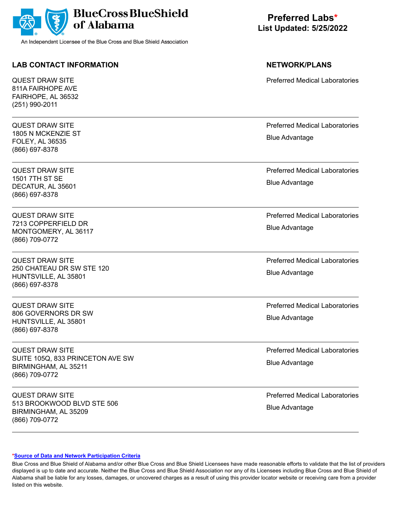

QUEST DRAW SITE 811A FAIRHOPE AVE FAIRHOPE, AL 36532 (251) 990-2011

QUEST DRAW SITE 1805 N MCKENZIE ST FOLEY, AL 36535 (866) 697-8378

QUEST DRAW SITE 1501 7TH ST SE DECATUR, AL 35601 (866) 697-8378

QUEST DRAW SITE 7213 COPPERFIELD DR MONTGOMERY, AL 36117 (866) 709-0772

QUEST DRAW SITE 250 CHATEAU DR SW STE 120 HUNTSVILLE, AL 35801 (866) 697-8378

QUEST DRAW SITE 806 GOVERNORS DR SW HUNTSVILLE, AL 35801 (866) 697-8378

QUEST DRAW SITE SUITE 105Q, 833 PRINCETON AVE SW BIRMINGHAM, AL 35211 (866) 709-0772

QUEST DRAW SITE 513 BROOKWOOD BLVD STE 506 BIRMINGHAM, AL 35209 (866) 709-0772

**Preferred Labs\* List Updated: 5/25/2022**

**LAB CONTACT INFORMATION NETWORK/PLANS** Preferred Medical Laboratories Preferred Medical Laboratories Blue Advantage

> Preferred Medical Laboratories Blue Advantage

> Preferred Medical Laboratories Blue Advantage

> Preferred Medical Laboratories Blue Advantage

> Preferred Medical Laboratories Blue Advantage

> Preferred Medical Laboratories Blue Advantage

> Preferred Medical Laboratories Blue Advantage

### **[\\*Source of Data and Network Participation Criteria](https://www.bcbsal.org/pdfs/DataSources.pdf)**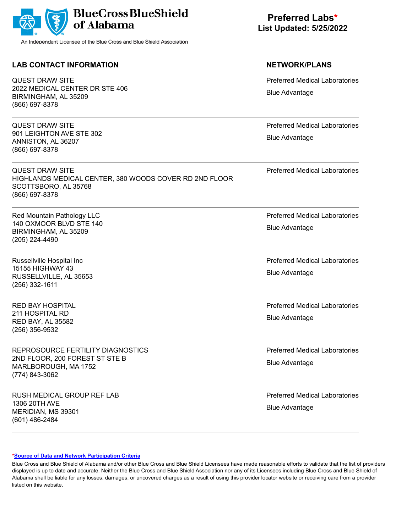| <b>BlueCross BlueShield</b><br>of Alabama<br>An Independent Licensee of the Blue Cross and Blue Shield Association         | <b>Preferred Labs*</b><br><b>List Updated: 5/25/2022</b>       |
|----------------------------------------------------------------------------------------------------------------------------|----------------------------------------------------------------|
| <b>LAB CONTACT INFORMATION</b>                                                                                             | <b>NETWORK/PLANS</b>                                           |
| <b>QUEST DRAW SITE</b><br>2022 MEDICAL CENTER DR STE 406<br>BIRMINGHAM, AL 35209<br>(866) 697-8378                         | <b>Preferred Medical Laboratories</b><br><b>Blue Advantage</b> |
| <b>QUEST DRAW SITE</b><br>901 LEIGHTON AVE STE 302<br>ANNISTON, AL 36207<br>(866) 697-8378                                 | <b>Preferred Medical Laboratories</b><br><b>Blue Advantage</b> |
| <b>QUEST DRAW SITE</b><br>HIGHLANDS MEDICAL CENTER, 380 WOODS COVER RD 2ND FLOOR<br>SCOTTSBORO, AL 35768<br>(866) 697-8378 | <b>Preferred Medical Laboratories</b>                          |
| Red Mountain Pathology LLC<br>140 OXMOOR BLVD STE 140<br>BIRMINGHAM, AL 35209<br>(205) 224-4490                            | <b>Preferred Medical Laboratories</b><br><b>Blue Advantage</b> |
| Russellville Hospital Inc<br>15155 HIGHWAY 43<br>RUSSELLVILLE, AL 35653<br>$(256)$ 332-1611                                | <b>Preferred Medical Laboratories</b><br><b>Blue Advantage</b> |
| <b>RED BAY HOSPITAL</b><br>211 HOSPITAL RD<br><b>RED BAY, AL 35582</b><br>(256) 356-9532                                   | <b>Preferred Medical Laboratories</b><br><b>Blue Advantage</b> |
| REPROSOURCE FERTILITY DIAGNOSTICS<br>2ND FLOOR, 200 FOREST ST STE B                                                        | <b>Preferred Medical Laboratories</b><br><b>Blue Advantage</b> |

2ND FLOOR, 200 FOREST ST STE B MARLBOROUGH, MA 1752 (774) 843-3062

RUSH MEDICAL GROUP REF LAB 1306 20TH AVE MERIDIAN, MS 39301 (601) 486-2484

Preferred Medical Laboratories Blue Advantage

### **[\\*Source of Data and Network Participation Criteria](https://www.bcbsal.org/pdfs/DataSources.pdf)**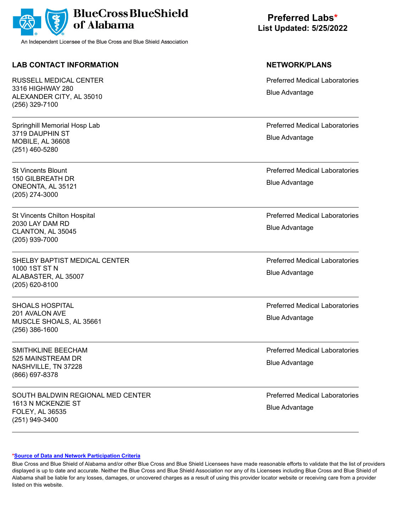

## **LAB CONTACT INFORMATION NETWORK/PLANS**

RUSSELL MEDICAL CENTER 3316 HIGHWAY 280 ALEXANDER CITY, AL 35010 (256) 329-7100

Springhill Memorial Hosp Lab 3719 DAUPHIN ST MOBILE, AL 36608 (251) 460-5280

St Vincents Blount 150 GILBREATH DR ONEONTA, AL 35121 (205) 274-3000

St Vincents Chilton Hospital 2030 LAY DAM RD CLANTON, AL 35045 (205) 939-7000

SHELBY BAPTIST MEDICAL CENTER 1000 1ST ST N ALABASTER, AL 35007 (205) 620-8100

SHOALS HOSPITAL 201 AVALON AVE MUSCLE SHOALS, AL 35661 (256) 386-1600

SMITHKLINE BEECHAM 525 MAINSTREAM DR NASHVILLE, TN 37228 (866) 697-8378

SOUTH BALDWIN REGIONAL MED CENTER 1613 N MCKENZIE ST FOLEY, AL 36535 (251) 949-3400

**Preferred Labs\* List Updated: 5/25/2022**

Preferred Medical Laboratories Blue Advantage

Preferred Medical Laboratories Blue Advantage

Preferred Medical Laboratories Blue Advantage

Preferred Medical Laboratories Blue Advantage

Preferred Medical Laboratories Blue Advantage

Preferred Medical Laboratories Blue Advantage

Preferred Medical Laboratories Blue Advantage

Preferred Medical Laboratories Blue Advantage

### **[\\*Source of Data and Network Participation Criteria](https://www.bcbsal.org/pdfs/DataSources.pdf)**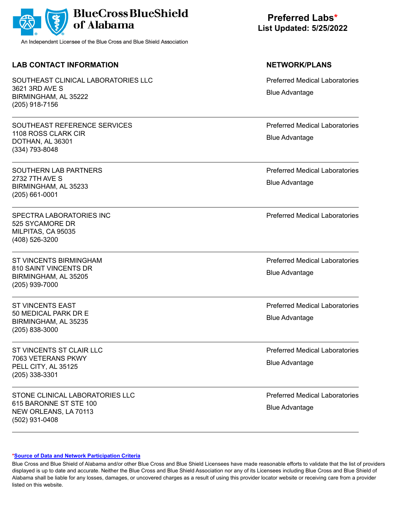|  | BlueCross BlueShield |
|--|----------------------|
|--|----------------------|

## **LAB CONTACT INFORMATION NETWORK/PLANS**

SOUTHEAST CLINICAL LABORATORIES LLC 3621 3RD AVE S BIRMINGHAM, AL 35222 (205) 918-7156

SOUTHEAST REFERENCE SERVICES 1108 ROSS CLARK CIR DOTHAN, AL 36301 (334) 793-8048

SOUTHERN LAB PARTNERS 2732 7TH AVE S BIRMINGHAM, AL 35233 (205) 661-0001

SPECTRA LABORATORIES INC. 525 SYCAMORE DR MILPITAS, CA 95035 (408) 526-3200

ST VINCENTS BIRMINGHAM 810 SAINT VINCENTS DR BIRMINGHAM, AL 35205 (205) 939-7000

ST VINCENTS EAST 50 MEDICAL PARK DR E BIRMINGHAM, AL 35235 (205) 838-3000

ST VINCENTS ST CLAIR LLC 7063 VETERANS PKWY PELL CITY, AL 35125 (205) 338-3301

STONE CLINICAL LABORATORIES LLC 615 BARONNE ST STE 100 NEW ORLEANS, LA 70113 (502) 931-0408

**Preferred Labs\* List Updated: 5/25/2022**

Preferred Medical Laboratories Blue Advantage

Preferred Medical Laboratories Blue Advantage

Preferred Medical Laboratories Blue Advantage

Preferred Medical Laboratories

Preferred Medical Laboratories Blue Advantage

Preferred Medical Laboratories Blue Advantage

Preferred Medical Laboratories Blue Advantage

Preferred Medical Laboratories Blue Advantage

### **[\\*Source of Data and Network Participation Criteria](https://www.bcbsal.org/pdfs/DataSources.pdf)**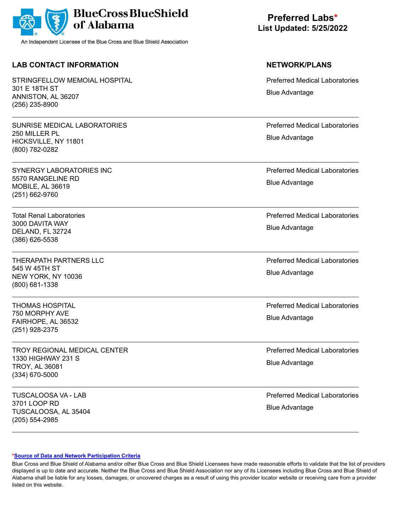|  | BlueCross BlueShield |
|--|----------------------|
|--|----------------------|

## **LAB CONTACT INFORMATION NETWORK/PLANS**

STRINGFELLOW MEMOIAL HOSPITAL 301 E 18TH ST ANNISTON, AL 36207 (256) 235-8900

SUNRISE MEDICAL LABORATORIES 250 MILLER PL HICKSVILLE, NY 11801 (800) 782-0282

SYNERGY LABORATORIES INC 5570 RANGELINE RD MOBILE, AL 36619 (251) 662-9760

Total Renal Laboratories 3000 DAVITA WAY DELAND, FL 32724 (386) 626-5538

THERAPATH PARTNERS LLC 545 W 45TH ST NEW YORK, NY 10036 (800) 681-1338

THOMAS HOSPITAL 750 MORPHY AVE FAIRHOPE, AL 36532 (251) 928-2375

TROY REGIONAL MEDICAL CENTER 1330 HIGHWAY 231 S TROY, AL 36081 (334) 670-5000

TUSCALOOSA VA - LAB 3701 LOOP RD TUSCALOOSA, AL 35404 (205) 554-2985

**Preferred Labs\* List Updated: 5/25/2022**

Preferred Medical Laboratories Blue Advantage

Preferred Medical Laboratories Blue Advantage

Preferred Medical Laboratories Blue Advantage

Preferred Medical Laboratories Blue Advantage

Preferred Medical Laboratories Blue Advantage

Preferred Medical Laboratories Blue Advantage

Preferred Medical Laboratories Blue Advantage

Preferred Medical Laboratories Blue Advantage

### **[\\*Source of Data and Network Participation Criteria](https://www.bcbsal.org/pdfs/DataSources.pdf)**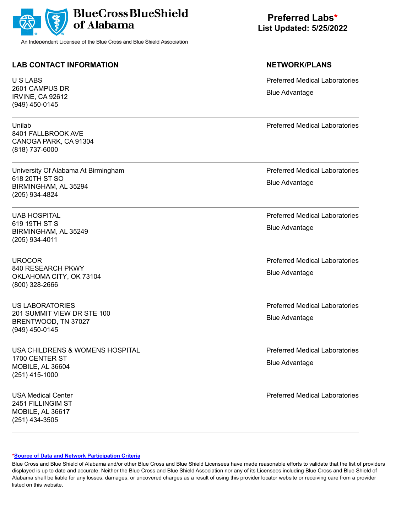

## **LAB CONTACT INFORMATION NETWORK/PLANS**

U S LABS 2601 CAMPUS DR IRVINE, CA 92612 (949) 450-0145

Unilab 8401 FALLBROOK AVE CANOGA PARK, CA 91304 (818) 737-6000

University Of Alabama At Birmingham 618 20TH ST SO BIRMINGHAM, AL 35294 (205) 934-4824

UAB HOSPITAL 619 19TH ST S BIRMINGHAM, AL 35249 (205) 934-4011

UROCOR 840 RESEARCH PKWY OKLAHOMA CITY, OK 73104 (800) 328-2666

US LABORATORIES 201 SUMMIT VIEW DR STE 100 BRENTWOOD, TN 37027 (949) 450-0145

USA CHILDRENS & WOMENS HOSPITAL 1700 CENTER ST MOBILE, AL 36604 (251) 415-1000

USA Medical Center 2451 FILLINGIM ST MOBILE, AL 36617 (251) 434-3505

**Preferred Labs\* List Updated: 5/25/2022**

Preferred Medical Laboratories Blue Advantage

Preferred Medical Laboratories

Preferred Medical Laboratories Blue Advantage

Preferred Medical Laboratories Blue Advantage

Preferred Medical Laboratories Blue Advantage

Preferred Medical Laboratories Blue Advantage

Preferred Medical Laboratories Blue Advantage

Preferred Medical Laboratories

### **[\\*Source of Data and Network Participation Criteria](https://www.bcbsal.org/pdfs/DataSources.pdf)**